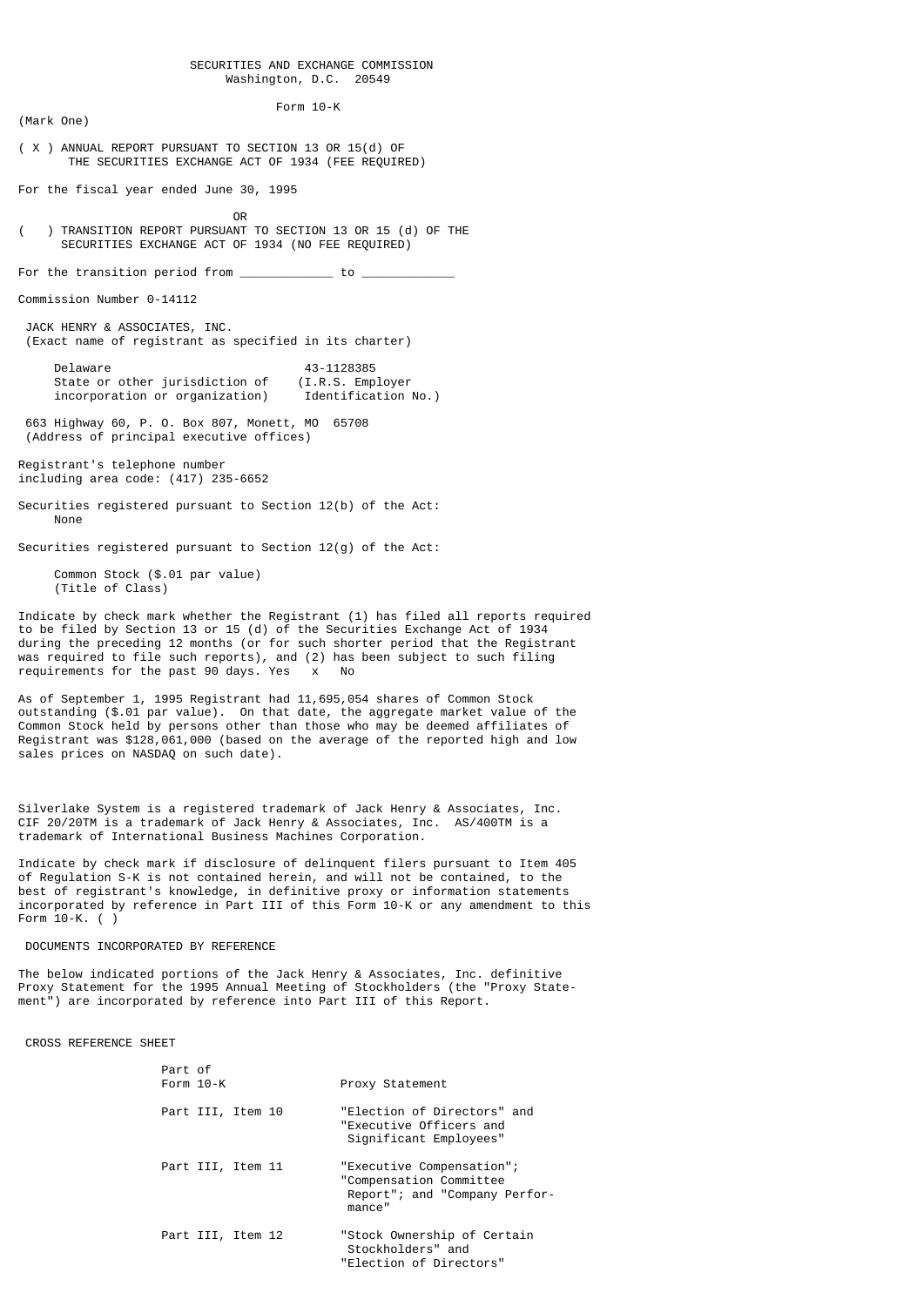# SECURITIES AND EXCHANGE COMMISSION Washington, D.C. 20549

 Form 10-K (Mark One)

( X ) ANNUAL REPORT PURSUANT TO SECTION 13 OR 15(d) OF THE SECURITIES EXCHANGE ACT OF 1934 (FEE REQUIRED)

For the fiscal year ended June 30, 1995

**OR** Service of the state of the state of the state of the state of the state of the state of the state of the state of the state of the state of the state of the state of the state of the state of the state of the state o

( ) TRANSITION REPORT PURSUANT TO SECTION 13 OR 15 (d) OF THE SECURITIES EXCHANGE ACT OF 1934 (NO FEE REQUIRED)

For the transition period from  $\frac{1}{2}$  to  $\frac{1}{2}$ 

Commission Number 0-14112

 JACK HENRY & ASSOCIATES, INC. (Exact name of registrant as specified in its charter)

Delaware 43-1128385<br>State or other jurisdiction of (I.R.S. Employer State or other jurisdiction of (I.R.S. Employer<br>incorporation or organization) Identification No.) incorporation or organization)

 663 Highway 60, P. O. Box 807, Monett, MO 65708 (Address of principal executive offices)

Registrant's telephone number including area code: (417) 235-6652

Securities registered pursuant to Section 12(b) of the Act: None

Securities registered pursuant to Section 12(g) of the Act:

 Common Stock (\$.01 par value) (Title of Class)

Indicate by check mark whether the Registrant (1) has filed all reports required to be filed by Section 13 or 15 (d) of the Securities Exchange Act of 1934 during the preceding 12 months (or for such shorter period that the Registrant was required to file such reports), and (2) has been subject to such filing requirements for the past 90 days. Yes x No

As of September 1, 1995 Registrant had 11,695,054 shares of Common Stock outstanding (\$.01 par value). On that date, the aggregate market value of the Common Stock held by persons other than those who may be deemed affiliates of Registrant was \$128,061,000 (based on the average of the reported high and low sales prices on NASDAQ on such date).

Silverlake System is a registered trademark of Jack Henry & Associates, Inc. CIF 20/20TM is a trademark of Jack Henry & Associates, Inc. AS/400TM is a trademark of International Business Machines Corporation.

Indicate by check mark if disclosure of delinquent filers pursuant to Item 405 of Regulation S-K is not contained herein, and will not be contained, to the best of registrant's knowledge, in definitive proxy or information statements incorporated by reference in Part III of this Form 10-K or any amendment to this Form 10-K. ( )

# DOCUMENTS INCORPORATED BY REFERENCE

The below indicated portions of the Jack Henry & Associates, Inc. definitive Proxy Statement for the 1995 Annual Meeting of Stockholders (the "Proxy Statement") are incorporated by reference into Part III of this Report.

CROSS REFERENCE SHEET

| Part of<br>Form $10-K$ | Proxy Statement                                                                                  |
|------------------------|--------------------------------------------------------------------------------------------------|
| Part III, Item 10      | "Election of Directors" and<br>"Executive Officers and<br>Significant Employees"                 |
| Part III, Item 11      | "Executive Compensation";<br>"Compensation Committee<br>Report"; and "Company Perfor-<br>mance'' |
| Part III, Item 12      | "Stock Ownership of Certain<br>Stockholders" and<br>"Election of Directors"                      |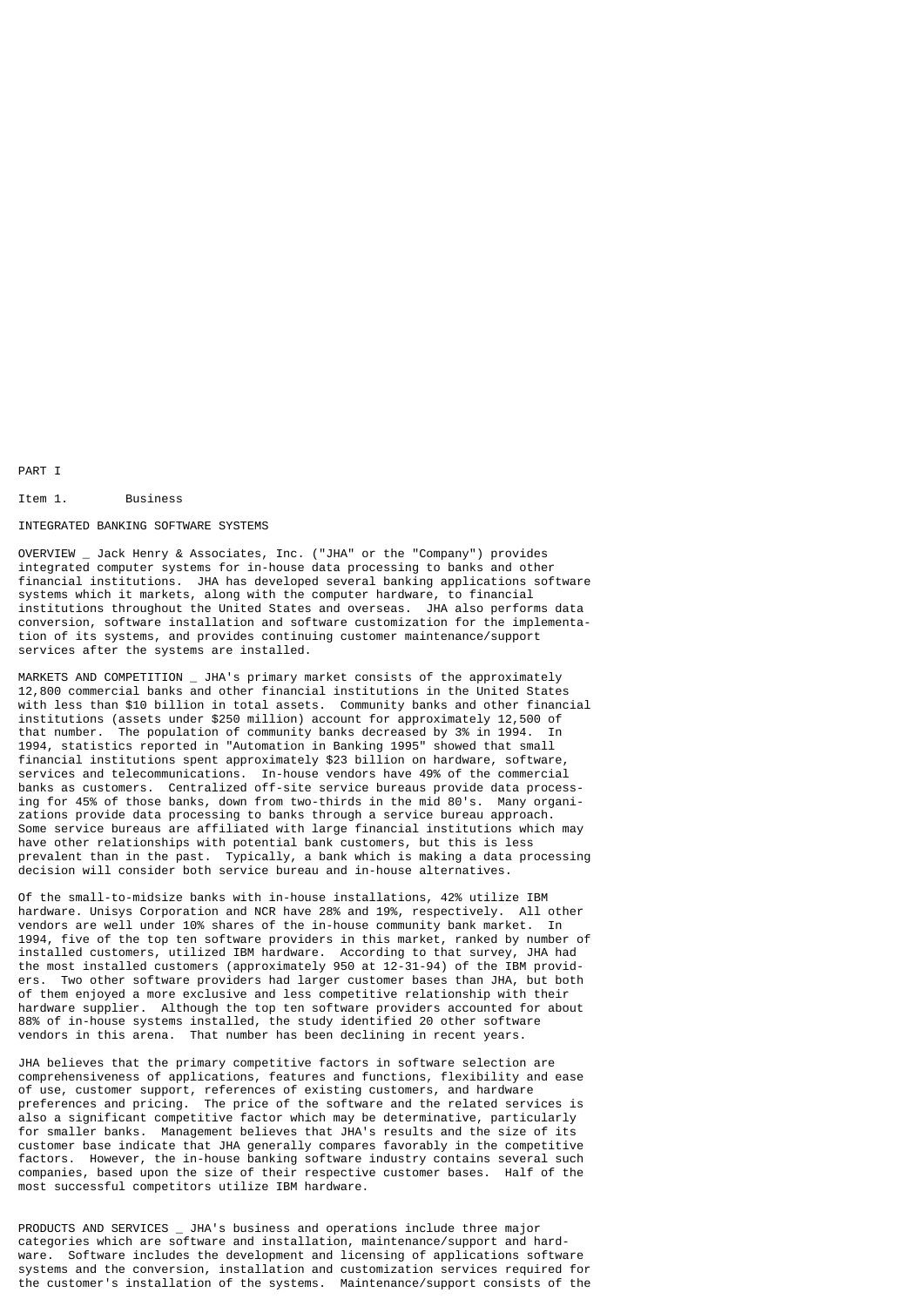PART I

# Item 1. Business

## INTEGRATED BANKING SOFTWARE SYSTEMS

OVERVIEW \_ Jack Henry & Associates, Inc. ("JHA" or the "Company") provides integrated computer systems for in-house data processing to banks and other financial institutions. JHA has developed several banking applications software systems which it markets, along with the computer hardware, to financial institutions throughout the United States and overseas. JHA also performs data conversion, software installation and software customization for the implementation of its systems, and provides continuing customer maintenance/support services after the systems are installed.

MARKETS AND COMPETITION \_ JHA's primary market consists of the approximately 12,800 commercial banks and other financial institutions in the United States with less than \$10 billion in total assets. Community banks and other financial institutions (assets under \$250 million) account for approximately 12,500 of that number. The population of community banks decreased by 3% in 1994. In 1994, statistics reported in "Automation in Banking 1995" showed that small financial institutions spent approximately \$23 billion on hardware, software, services and telecommunications. In-house vendors have 49% of the commercial banks as customers. Centralized off-site service bureaus provide data processing for 45% of those banks, down from two-thirds in the mid 80's. Many organizations provide data processing to banks through a service bureau approach. Some service bureaus are affiliated with large financial institutions which may have other relationships with potential bank customers, but this is less prevalent than in the past. Typically, a bank which is making a data processing decision will consider both service bureau and in-house alternatives.

Of the small-to-midsize banks with in-house installations, 42% utilize IBM hardware. Unisys Corporation and NCR have 28% and 19%, respectively. All other vendors are well under 10% shares of the in-house community bank market. In 1994, five of the top ten software providers in this market, ranked by number of installed customers, utilized IBM hardware. According to that survey, JHA had the most installed customers (approximately 950 at 12-31-94) of the IBM providers. Two other software providers had larger customer bases than JHA, but both of them enjoyed a more exclusive and less competitive relationship with their hardware supplier. Although the top ten software providers accounted for about 88% of in-house systems installed, the study identified 20 other software vendors in this arena. That number has been declining in recent years.

JHA believes that the primary competitive factors in software selection are comprehensiveness of applications, features and functions, flexibility and ease of use, customer support, references of existing customers, and hardware preferences and pricing. The price of the software and the related services is also a significant competitive factor which may be determinative, particularly for smaller banks. Management believes that JHA's results and the size of its customer base indicate that JHA generally compares favorably in the competitive factors. However, the in-house banking software industry contains several such companies, based upon the size of their respective customer bases. Half of the most successful competitors utilize IBM hardware.

PRODUCTS AND SERVICES \_ JHA's business and operations include three major categories which are software and installation, maintenance/support and hardware. Software includes the development and licensing of applications software systems and the conversion, installation and customization services required for the customer's installation of the systems. Maintenance/support consists of the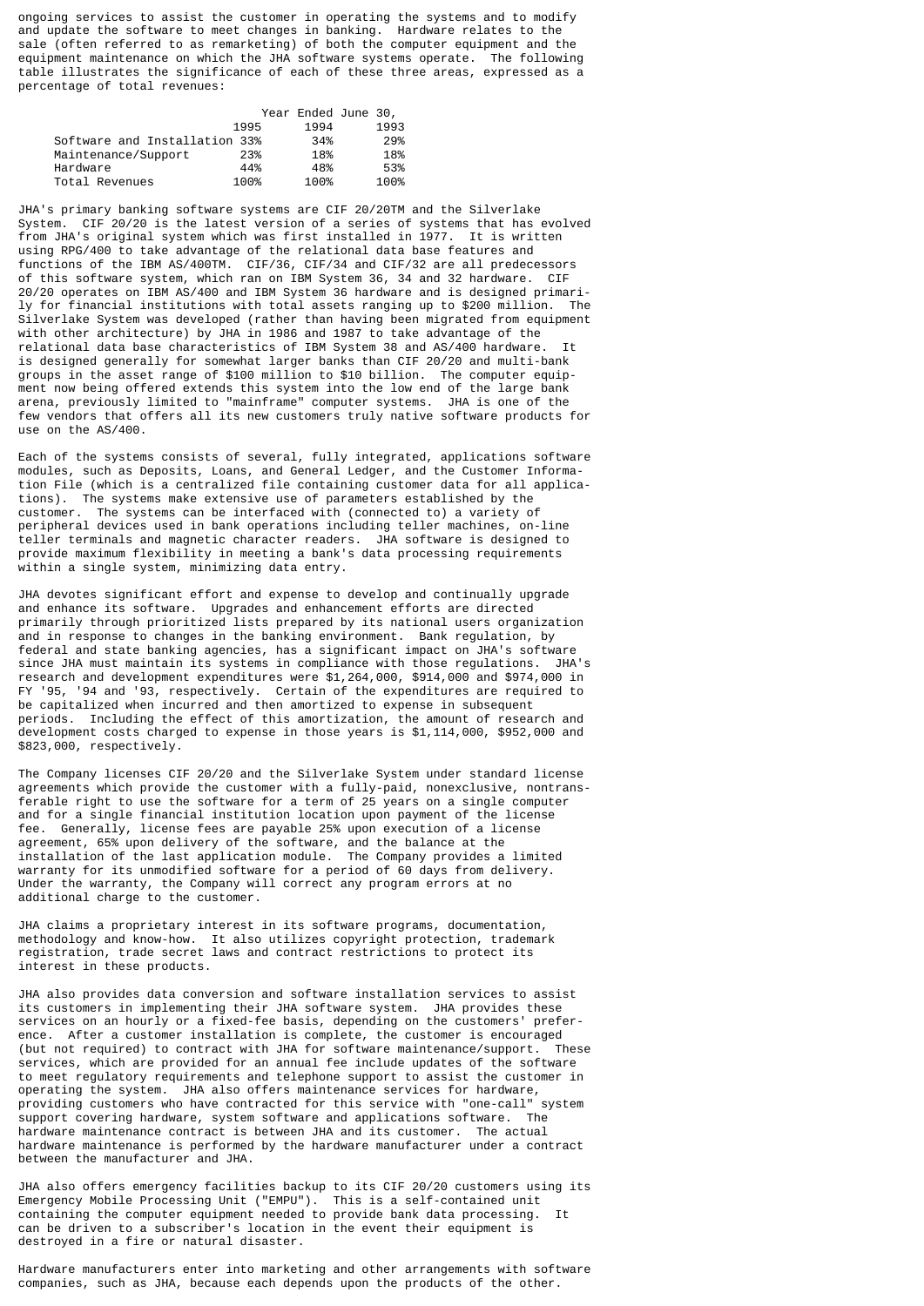ongoing services to assist the customer in operating the systems and to modify and update the software to meet changes in banking. Hardware relates to the sale (often referred to as remarketing) of both the computer equipment and the equipment maintenance on which the JHA software systems operate. The following table illustrates the significance of each of these three areas, expressed as a percentage of total revenues:

|                               |      | Year Ended June 30, |      |
|-------------------------------|------|---------------------|------|
|                               | 1995 | 1994                | 1993 |
| Software and Installation 33% |      | 34%                 | 29%  |
| Maintenance/Support           | 23%  | 18%                 | 18%  |
| Hardware                      | 44%  | 48%                 | 53%  |
| Total Revenues                | 100% | 100%                | 100% |

JHA's primary banking software systems are CIF 20/20TM and the Silverlake System. CIF 20/20 is the latest version of a series of systems that has evolved from JHA's original system which was first installed in 1977. It is written using RPG/400 to take advantage of the relational data base features and functions of the IBM AS/400TM. CIF/36, CIF/34 and CIF/32 are all predecessors of this software system, which ran on IBM System 36, 34 and 32 hardware. CIF 20/20 operates on IBM AS/400 and IBM System 36 hardware and is designed primarily for financial institutions with total assets ranging up to \$200 million. The Silverlake System was developed (rather than having been migrated from equipment with other architecture) by JHA in 1986 and 1987 to take advantage of the relational data base characteristics of IBM System 38 and AS/400 hardware. is designed generally for somewhat larger banks than CIF 20/20 and multi-bank groups in the asset range of \$100 million to \$10 billion. The computer equipment now being offered extends this system into the low end of the large bank arena, previously limited to "mainframe" computer systems. JHA is one of the few vendors that offers all its new customers truly native software products for use on the AS/400.

Each of the systems consists of several, fully integrated, applications software modules, such as Deposits, Loans, and General Ledger, and the Customer Information File (which is a centralized file containing customer data for all applications). The systems make extensive use of parameters established by the customer. The systems can be interfaced with (connected to) a variety of peripheral devices used in bank operations including teller machines, on-line teller terminals and magnetic character readers. JHA software is designed to provide maximum flexibility in meeting a bank's data processing requirements within a single system, minimizing data entry.

JHA devotes significant effort and expense to develop and continually upgrade and enhance its software. Upgrades and enhancement efforts are directed primarily through prioritized lists prepared by its national users organization and in response to changes in the banking environment. Bank regulation, by federal and state banking agencies, has a significant impact on JHA's software since JHA must maintain its systems in compliance with those regulations. JHA's research and development expenditures were \$1,264,000, \$914,000 and \$974,000 in FY '95, '94 and '93, respectively. Certain of the expenditures are required to be capitalized when incurred and then amortized to expense in subsequent periods. Including the effect of this amortization, the amount of research and development costs charged to expense in those years is \$1,114,000, \$952,000 and \$823,000, respectively.

The Company licenses CIF 20/20 and the Silverlake System under standard license agreements which provide the customer with a fully-paid, nonexclusive, nontransferable right to use the software for a term of 25 years on a single computer and for a single financial institution location upon payment of the license fee. Generally, license fees are payable 25% upon execution of a license agreement, 65% upon delivery of the software, and the balance at the installation of the last application module. The Company provides a limited warranty for its unmodified software for a period of 60 days from delivery. Under the warranty, the Company will correct any program errors at no additional charge to the customer.

JHA claims a proprietary interest in its software programs, documentation, methodology and know-how. It also utilizes copyright protection, trademark registration, trade secret laws and contract restrictions to protect its interest in these products.

JHA also provides data conversion and software installation services to assist its customers in implementing their JHA software system. JHA provides these services on an hourly or a fixed-fee basis, depending on the customers' preference. After a customer installation is complete, the customer is encouraged<br>(but not required) to contract with JHA for software maintenance/support. These (but not required) to contract with JHA for software maintenance/support. services, which are provided for an annual fee include updates of the software to meet regulatory requirements and telephone support to assist the customer in operating the system. JHA also offers maintenance services for hardware, providing customers who have contracted for this service with "one-call" system support covering hardware, system software and applications software. The hardware maintenance contract is between JHA and its customer. The actual hardware maintenance is performed by the hardware manufacturer under a contract between the manufacturer and JHA.

JHA also offers emergency facilities backup to its CIF 20/20 customers using its Emergency Mobile Processing Unit ("EMPU"). This is a self-contained unit containing the computer equipment needed to provide bank data processing. can be driven to a subscriber's location in the event their equipment is destroyed in a fire or natural disaster.

Hardware manufacturers enter into marketing and other arrangements with software companies, such as JHA, because each depends upon the products of the other.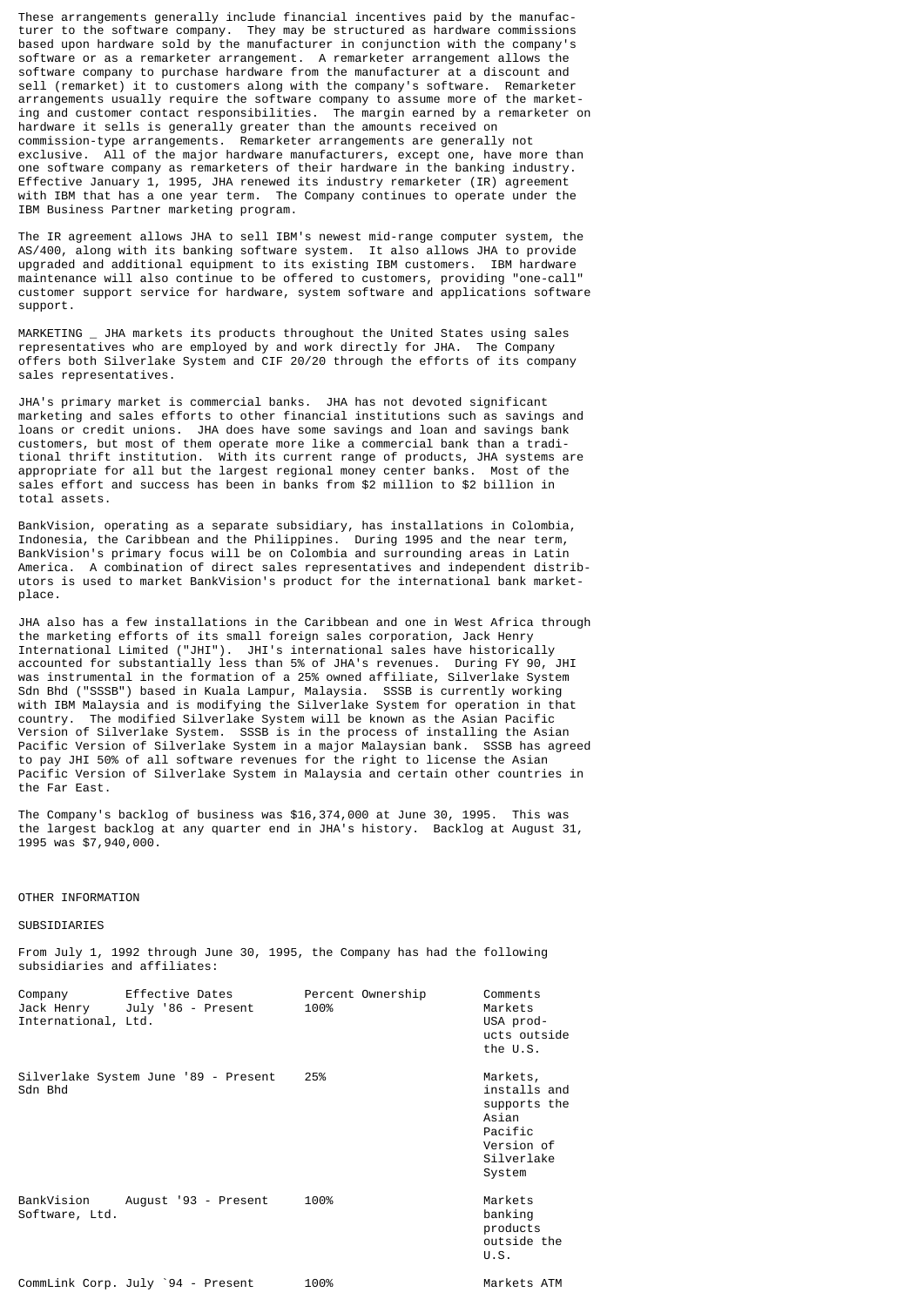These arrangements generally include financial incentives paid by the manufacturer to the software company. They may be structured as hardware commissions based upon hardware sold by the manufacturer in conjunction with the company's software or as a remarketer arrangement. A remarketer arrangement allows the software company to purchase hardware from the manufacturer at a discount and sell (remarket) it to customers along with the company's software. Remarketer arrangements usually require the software company to assume more of the marketing and customer contact responsibilities. The margin earned by a remarketer on hardware it sells is generally greater than the amounts received on commission-type arrangements. Remarketer arrangements are generally not exclusive. All of the major hardware manufacturers, except one, have more than one software company as remarketers of their hardware in the banking industry. Effective January 1, 1995, JHA renewed its industry remarketer (IR) agreement with IBM that has a one year term. The Company continues to operate under the IBM Business Partner marketing program.

The IR agreement allows JHA to sell IBM's newest mid-range computer system, the AS/400, along with its banking software system. It also allows JHA to provide upgraded and additional equipment to its existing IBM customers. IBM hardware maintenance will also continue to be offered to customers, providing "one-call" customer support service for hardware, system software and applications software support.

MARKETING JHA markets its products throughout the United States using sales representatives who are employed by and work directly for JHA. The Company offers both Silverlake System and CIF 20/20 through the efforts of its company sales representatives.

JHA's primary market is commercial banks. JHA has not devoted significant marketing and sales efforts to other financial institutions such as savings and loans or credit unions. JHA does have some savings and loan and savings bank customers, but most of them operate more like a commercial bank than a traditional thrift institution. With its current range of products, JHA systems are<br>appropriate for all but the largest regional money center banks. Most of the appropriate for all but the largest regional money center banks. Most of the sales effort and success has been in banks from \$2 million to \$2 billion in total assets.

BankVision, operating as a separate subsidiary, has installations in Colombia, Indonesia, the Caribbean and the Philippines. During 1995 and the near term, BankVision's primary focus will be on Colombia and surrounding areas in Latin America. A combination of direct sales representatives and independent distributors is used to market BankVision's product for the international bank marketplace.

JHA also has a few installations in the Caribbean and one in West Africa through the marketing efforts of its small foreign sales corporation, Jack Henry International Limited ("JHI"). JHI's international sales have historically accounted for substantially less than 5% of JHA's revenues. During FY 90, JHI was instrumental in the formation of a 25% owned affiliate, Silverlake System Sdn Bhd ("SSSB") based in Kuala Lampur, Malaysia. SSSB is currently working with IBM Malaysia and is modifying the Silverlake System for operation in that country. The modified Silverlake System will be known as the Asian Pacific Version of Silverlake System. SSSB is in the process of installing the Asian Pacific Version of Silverlake System in a major Malaysian bank. SSSB has agreed to pay JHI 50% of all software revenues for the right to license the Asian Pacific Version of Silverlake System in Malaysia and certain other countries in the Far East.

The Company's backlog of business was \$16,374,000 at June 30, 1995. This was the largest backlog at any quarter end in JHA's history. Backlog at August 31, 1995 was \$7,940,000.

## OTHER INFORMATION

# **SUBSIDIARIES**

From July 1, 1992 through June 30, 1995, the Company has had the following subsidiaries and affiliates:

| Company<br>International, Ltd. | Effective Dates<br>Jack Henry July '86 - Present | Percent Ownership<br>100% | Comments<br>Markets<br>USA prod-<br>ucts outside<br>the U.S.                                       |
|--------------------------------|--------------------------------------------------|---------------------------|----------------------------------------------------------------------------------------------------|
| Sdn Bhd                        | Silverlake System June '89 - Present             | 25%                       | Markets,<br>installs and<br>supports the<br>Asian<br>Pacific<br>Version of<br>Silverlake<br>System |
| Software, Ltd.                 | BankVision August '93 - Present                  | 100%                      | Markets<br>banking<br>products<br>outside the<br>U.S.                                              |
|                                | CommLink Corp. July `94 - Present                | 100%                      | Markets ATM                                                                                        |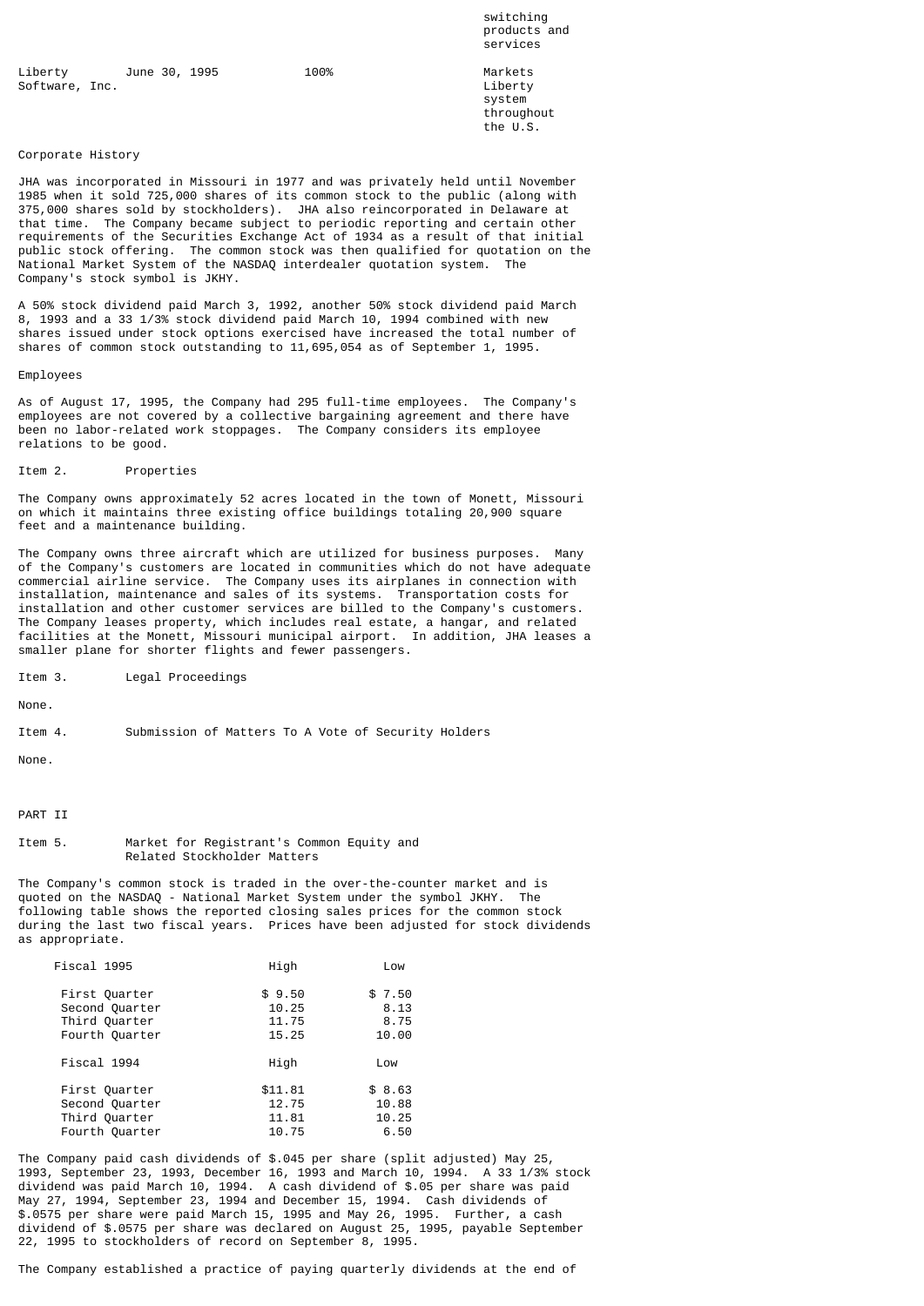switching products and services and the services of the services of the services of the services of the services of the services of the services of the services of the services of the service of the service of the service of the service of the s

Liberty June 30, 1995 100% 100% Markets<br>Software, Inc. (1995) 100% 100% 100% Liberty Software, Inc. the contract of the contract of the contract of the contract of the contract of the contract of the contract of the contract of the contract of the contract of the contract of the contract of the contract of

system in the system of the system of the system of the system of the system of the system of the system of the  $\sim$ throughout<br>the U.S. the U.S.

## Corporate History

JHA was incorporated in Missouri in 1977 and was privately held until November 1985 when it sold 725,000 shares of its common stock to the public (along with 375,000 shares sold by stockholders). JHA also reincorporated in Delaware at that time. The Company became subject to periodic reporting and certain other requirements of the Securities Exchange Act of 1934 as a result of that initial public stock offering. The common stock was then qualified for quotation on the National Market System of the NASDAQ interdealer quotation system. The Company's stock symbol is JKHY.

A 50% stock dividend paid March 3, 1992, another 50% stock dividend paid March 8, 1993 and a 33 1/3% stock dividend paid March 10, 1994 combined with new shares issued under stock options exercised have increased the total number of shares of common stock outstanding to 11,695,054 as of September 1, 1995.

#### Employees

As of August 17, 1995, the Company had 295 full-time employees. The Company's employees are not covered by a collective bargaining agreement and there have been no labor-related work stoppages. The Company considers its employee relations to be good.

#### Item 2. Properties

The Company owns approximately 52 acres located in the town of Monett, Missouri on which it maintains three existing office buildings totaling 20,900 square feet and a maintenance building.

The Company owns three aircraft which are utilized for business purposes. Many of the Company's customers are located in communities which do not have adequate commercial airline service. The Company uses its airplanes in connection with installation, maintenance and sales of its systems. Transportation costs for installation and other customer services are billed to the Company's customers. The Company leases property, which includes real estate, a hangar, and related facilities at the Monett, Missouri municipal airport. In addition, JHA leases a smaller plane for shorter flights and fewer passengers.

Item 3. Legal Proceedings

None.

Item 4. Submission of Matters To A Vote of Security Holders

None.

# PART II

## Item 5. Market for Registrant's Common Equity and Related Stockholder Matters

The Company's common stock is traded in the over-the-counter market and is quoted on the NASDAQ - National Market System under the symbol JKHY. The following table shows the reported closing sales prices for the common stock during the last two fiscal years. Prices have been adjusted for stock dividends as appropriate.

|                                    | Low                              |
|------------------------------------|----------------------------------|
| \$9.50<br>10.25<br>11.75<br>15.25  | \$7.50<br>8.13<br>8.75<br>10.00  |
| High                               | Low                              |
| \$11.81<br>12.75<br>11.81<br>10.75 | \$8.63<br>10.88<br>10.25<br>6.50 |
|                                    | High                             |

The Company paid cash dividends of \$.045 per share (split adjusted) May 25, 1993, September 23, 1993, December 16, 1993 and March 10, 1994. A 33 1/3% stock dividend was paid March 10, 1994. A cash dividend of \$.05 per share was paid May 27, 1994, September 23, 1994 and December 15, 1994. Cash dividends of \$.0575 per share were paid March 15, 1995 and May 26, 1995. Further, a cash dividend of \$.0575 per share was declared on August 25, 1995, payable September 22, 1995 to stockholders of record on September 8, 1995.

The Company established a practice of paying quarterly dividends at the end of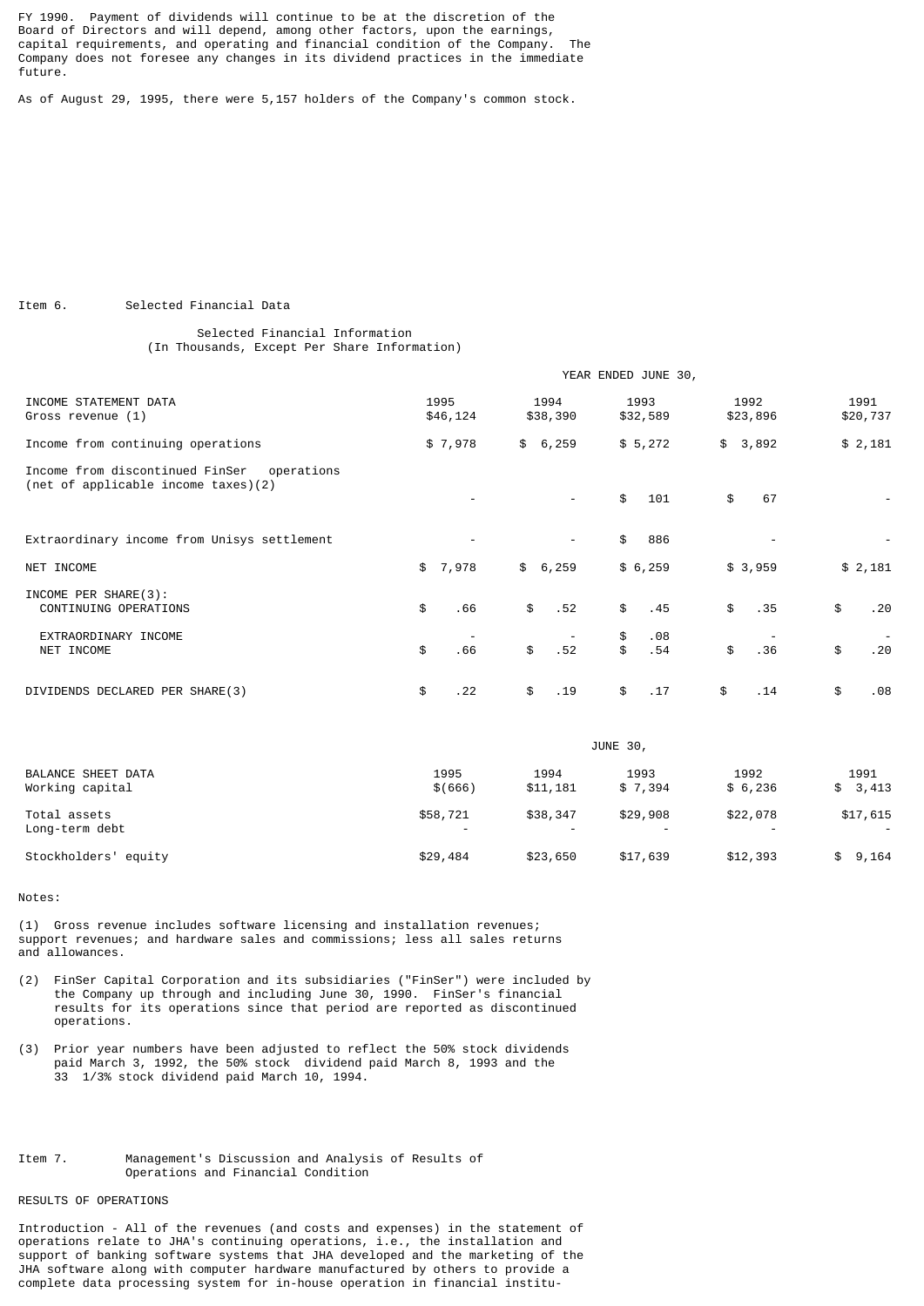FY 1990. Payment of dividends will continue to be at the discretion of the Board of Directors and will depend, among other factors, upon the earnings, capital requirements, and operating and financial condition of the Company. The Company does not foresee any changes in its dividend practices in the immediate future.

As of August 29, 1995, there were 5,157 holders of the Company's common stock.

Item 6. Selected Financial Data

# Selected Financial Information (In Thousands, Except Per Share Information)

|                                                                                      | YEAR ENDED JUNE 30, |                          |                        |                  |                  |
|--------------------------------------------------------------------------------------|---------------------|--------------------------|------------------------|------------------|------------------|
| INCOME STATEMENT DATA<br>Gross revenue (1)                                           | 1995<br>\$46,124    | 1994<br>\$38,390         | 1993<br>\$32,589       | 1992<br>\$23,896 | 1991<br>\$20,737 |
| Income from continuing operations                                                    | \$7,978             | \$6,259                  | \$5,272                | \$<br>3,892      | \$2,181          |
| Income from discontinued FinSer<br>operations<br>(net of applicable income taxes)(2) |                     | $\overline{\phantom{a}}$ | \$<br>101              | \$<br>67         |                  |
| Extraordinary income from Unisys settlement                                          |                     |                          | 886<br>\$              |                  |                  |
| NET INCOME                                                                           | \$7,978             | \$6,259                  | \$6,259                | \$3,959          | \$2,181          |
| INCOME PER SHARE(3):<br>CONTINUING OPERATIONS                                        | \$<br>.66           | \$<br>.52                | \$<br>.45              | \$<br>.35        | \$<br>.20        |
| EXTRAORDINARY INCOME<br>NET INCOME                                                   | \$<br>.66           | \$<br>.52                | .08<br>\$<br>\$<br>.54 | \$<br>.36        | \$<br>.20        |
| DIVIDENDS DECLARED PER SHARE(3)                                                      | \$<br>. 22          | \$<br>.19                | \$<br>.17              | \$<br>. 14       | \$<br>.08        |

| BALANCE SHEET DATA<br>Working capital |                 | JUNE 30,         |                                      |                 |                 |
|---------------------------------------|-----------------|------------------|--------------------------------------|-----------------|-----------------|
|                                       | 1995<br>\$(666) | 1994<br>\$11,181 | 1993<br>\$7.394                      | 1992<br>\$6,236 | 1991<br>\$3,413 |
| Total assets<br>Long-term debt        | \$58,721<br>-   | \$38,347         | \$29,908<br>$\overline{\phantom{a}}$ | \$22,078        | \$17,615        |
| Stockholders' equity                  | \$29,484        | \$23,650         | \$17,639                             | \$12,393        | 9,164<br>\$     |

Notes:

(1) Gross revenue includes software licensing and installation revenues; support revenues; and hardware sales and commissions; less all sales returns and allowances.

- (2) FinSer Capital Corporation and its subsidiaries ("FinSer") were included by the Company up through and including June 30, 1990. FinSer's financial results for its operations since that period are reported as discontinued operations.
- (3) Prior year numbers have been adjusted to reflect the 50% stock dividends paid March 3, 1992, the 50% stock dividend paid March 8, 1993 and the 33 1/3% stock dividend paid March 10, 1994.

# Item 7. Management's Discussion and Analysis of Results of Operations and Financial Condition

# RESULTS OF OPERATIONS

Introduction - All of the revenues (and costs and expenses) in the statement of operations relate to JHA's continuing operations, i.e., the installation and support of banking software systems that JHA developed and the marketing of the JHA software along with computer hardware manufactured by others to provide a complete data processing system for in-house operation in financial institu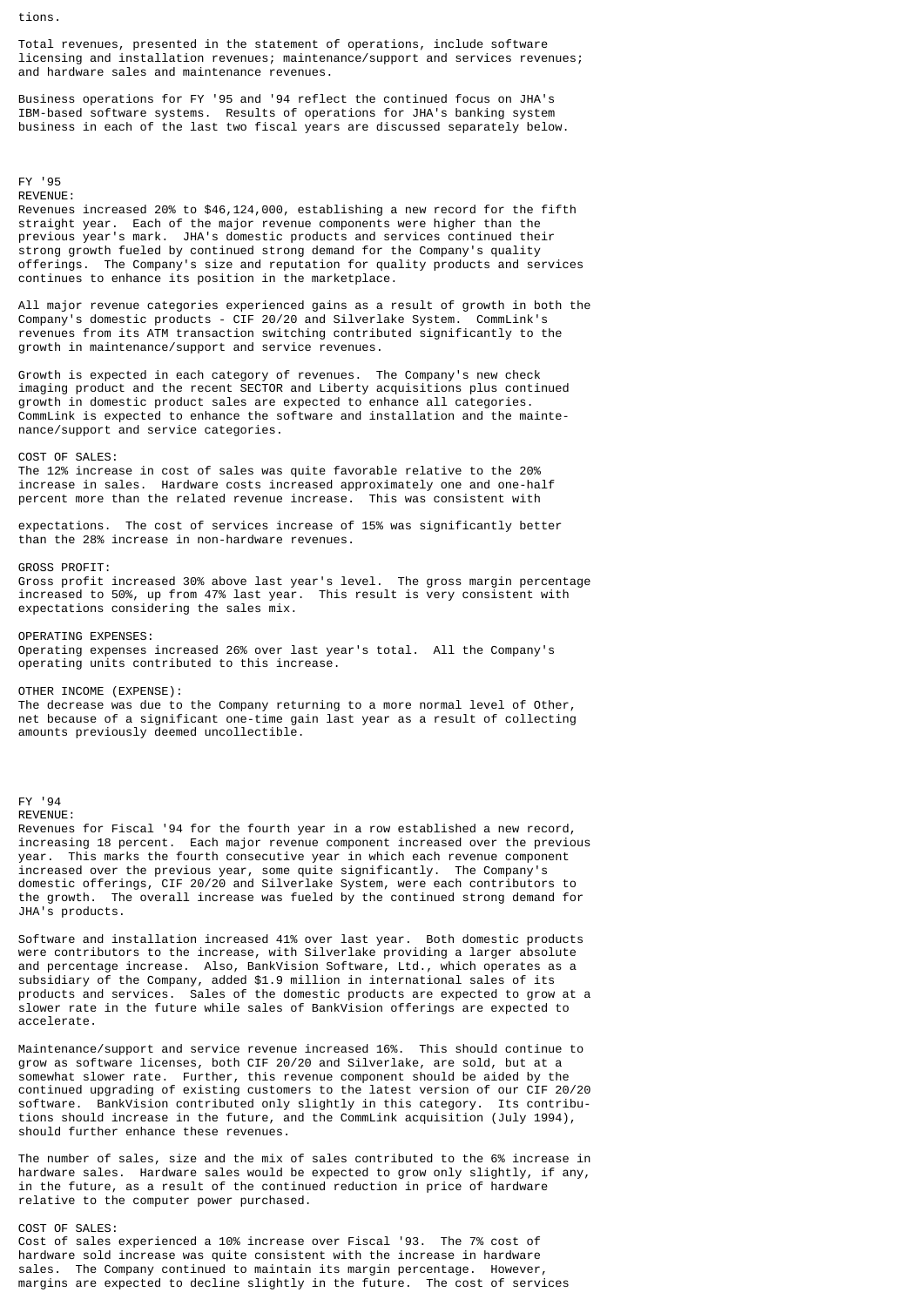tions.

Total revenues, presented in the statement of operations, include software licensing and installation revenues; maintenance/support and services revenues; and hardware sales and maintenance revenues.

Business operations for FY '95 and '94 reflect the continued focus on JHA's IBM-based software systems. Results of operations for JHA's banking system business in each of the last two fiscal years are discussed separately below.

# FY '95 REVENUE:

Revenues increased 20% to \$46,124,000, establishing a new record for the fifth straight year. Each of the major revenue components were higher than the previous year's mark. JHA's domestic products and services continued their strong growth fueled by continued strong demand for the Company's quality offerings. The Company's size and reputation for quality products and services continues to enhance its position in the marketplace.

All major revenue categories experienced gains as a result of growth in both the Company's domestic products - CIF 20/20 and Silverlake System. CommLink's revenues from its ATM transaction switching contributed significantly to the growth in maintenance/support and service revenues.

Growth is expected in each category of revenues. The Company's new check imaging product and the recent SECTOR and Liberty acquisitions plus continued growth in domestic product sales are expected to enhance all categories. CommLink is expected to enhance the software and installation and the maintenance/support and service categories.

COST OF SALES:

The 12% increase in cost of sales was quite favorable relative to the 20% increase in sales. Hardware costs increased approximately one and one-half percent more than the related revenue increase. This was consistent with

expectations. The cost of services increase of 15% was significantly better than the 28% increase in non-hardware revenues.

# GROSS PROFIT:

Gross profit increased 30% above last year's level. The gross margin percentage increased to 50%, up from 47% last year. This result is very consistent with expectations considering the sales mix.

OPERATING EXPENSES: Operating expenses increased 26% over last year's total. All the Company's operating units contributed to this increase.

OTHER INCOME (EXPENSE):

The decrease was due to the Company returning to a more normal level of Other, net because of a significant one-time gain last year as a result of collecting amounts previously deemed uncollectible.

#### FY '94

REVENUE:

Revenues for Fiscal '94 for the fourth year in a row established a new record, increasing 18 percent. Each major revenue component increased over the previous year. This marks the fourth consecutive year in which each revenue component increased over the previous year, some quite significantly. The Company's domestic offerings, CIF 20/20 and Silverlake System, were each contributors to the growth. The overall increase was fueled by the continued strong demand for JHA's products.

Software and installation increased 41% over last year. Both domestic products were contributors to the increase, with Silverlake providing a larger absolute and percentage increase. Also, BankVision Software, Ltd., which operates as a subsidiary of the Company, added \$1.9 million in international sales of its products and services. Sales of the domestic products are expected to grow at a slower rate in the future while sales of BankVision offerings are expected to accelerate.

Maintenance/support and service revenue increased 16%. This should continue to grow as software licenses, both CIF 20/20 and Silverlake, are sold, but at a somewhat slower rate. Further, this revenue component should be aided by the continued upgrading of existing customers to the latest version of our CIF 20/20<br>software. BankVision contributed only slightly in this category. Its contribu-BankVision contributed only slightly in this category. Its contributions should increase in the future, and the CommLink acquisition (July 1994), should further enhance these revenues.

The number of sales, size and the mix of sales contributed to the 6% increase in hardware sales. Hardware sales would be expected to grow only slightly, if any, in the future, as a result of the continued reduction in price of hardware relative to the computer power purchased.

# COST OF SALES:

Cost of sales experienced a 10% increase over Fiscal '93. The 7% cost of hardware sold increase was quite consistent with the increase in hardware sales. The Company continued to maintain its margin percentage. However, margins are expected to decline slightly in the future. The cost of services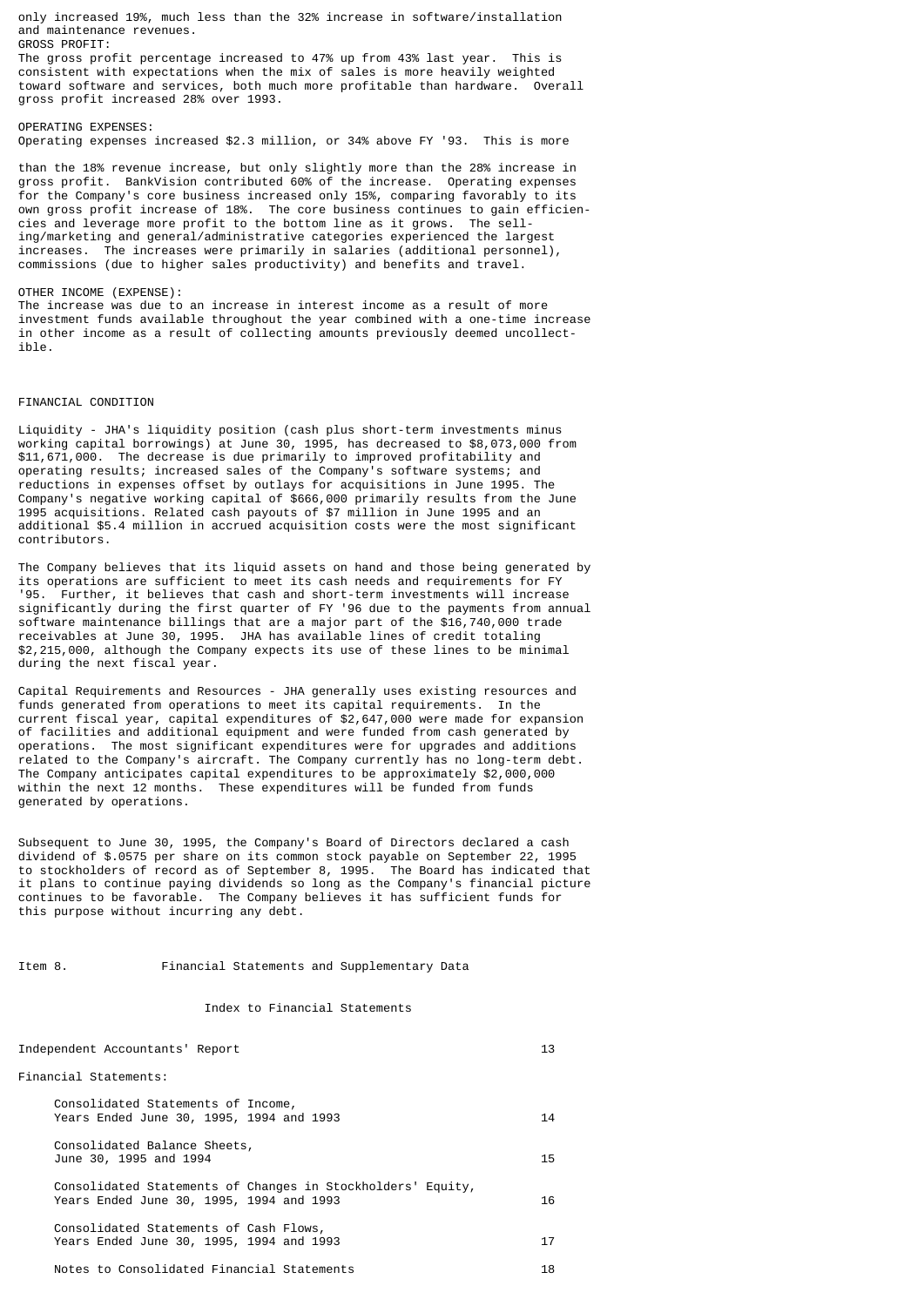only increased 19%, much less than the 32% increase in software/installation and maintenance revenues. GROSS PROFIT:

The gross profit percentage increased to 47% up from 43% last year. This is consistent with expectations when the mix of sales is more heavily weighted toward software and services, both much more profitable than hardware. Overall gross profit increased 28% over 1993.

OPERATING EXPENSES: Operating expenses increased \$2.3 million, or 34% above FY '93. This is more

than the 18% revenue increase, but only slightly more than the 28% increase in gross profit. BankVision contributed 60% of the increase. Operating expenses for the Company's core business increased only 15%, comparing favorably to its own gross profit increase of 18%. The core business continues to gain efficiencies and leverage more profit to the bottom line as it grows. The selling/marketing and general/administrative categories experienced the largest increases. The increases were primarily in salaries (additional personnel), commissions (due to higher sales productivity) and benefits and travel.

## OTHER INCOME (EXPENSE):

The increase was due to an increase in interest income as a result of more investment funds available throughout the year combined with a one-time increase in other income as a result of collecting amounts previously deemed uncollectible.

# FINANCIAL CONDITION

Liquidity - JHA's liquidity position (cash plus short-term investments minus working capital borrowings) at June 30, 1995, has decreased to \$8,073,000 from \$11,671,000. The decrease is due primarily to improved profitability and operating results; increased sales of the Company's software systems; and reductions in expenses offset by outlays for acquisitions in June 1995. The Company's negative working capital of \$666,000 primarily results from the June 1995 acquisitions. Related cash payouts of \$7 million in June 1995 and an additional \$5.4 million in accrued acquisition costs were the most significant contributors.

The Company believes that its liquid assets on hand and those being generated by incompany bosts of sufficient to meet its cash needs and requirements for FY<br>15 Seperations are sufficient to meet its cash needs and requirements for FY Further, it believes that cash and short-term investments will increase significantly during the first quarter of FY '96 due to the payments from annual software maintenance billings that are a major part of the \$16,740,000 trade receivables at June 30, 1995. JHA has available lines of credit totaling \$2,215,000, although the Company expects its use of these lines to be minimal during the next fiscal year.

Capital Requirements and Resources - JHA generally uses existing resources and funds generated from operations to meet its capital requirements. In the current fiscal year, capital expenditures of \$2,647,000 were made for expansion of facilities and additional equipment and were funded from cash generated by operations. The most significant expenditures were for upgrades and additions related to the Company's aircraft. The Company currently has no long-term debt. The Company anticipates capital expenditures to be approximately \$2,000,000 within the next 12 months. These expenditures will be funded from funds generated by operations.

Subsequent to June 30, 1995, the Company's Board of Directors declared a cash dividend of \$.0575 per share on its common stock payable on September 22, 1995 to stockholders of record as of September 8, 1995. The Board has indicated that it plans to continue paying dividends so long as the Company's financial picture continues to be favorable. The Company believes it has sufficient funds for this purpose without incurring any debt.

Item 8. Financial Statements and Supplementary Data

## Index to Financial Statements

| Independent Accountants' Report                                                                         | 13 |
|---------------------------------------------------------------------------------------------------------|----|
| Financial Statements:                                                                                   |    |
| Consolidated Statements of Income,<br>Years Ended June 30, 1995, 1994 and 1993                          | 14 |
| Consolidated Balance Sheets,<br>June 30, 1995 and 1994                                                  | 15 |
| Consolidated Statements of Changes in Stockholders' Equity,<br>Years Ended June 30, 1995, 1994 and 1993 | 16 |
| Consolidated Statements of Cash Flows,<br>Years Ended June 30, 1995, 1994 and 1993                      | 17 |
| Notes to Consolidated Financial Statements                                                              | 18 |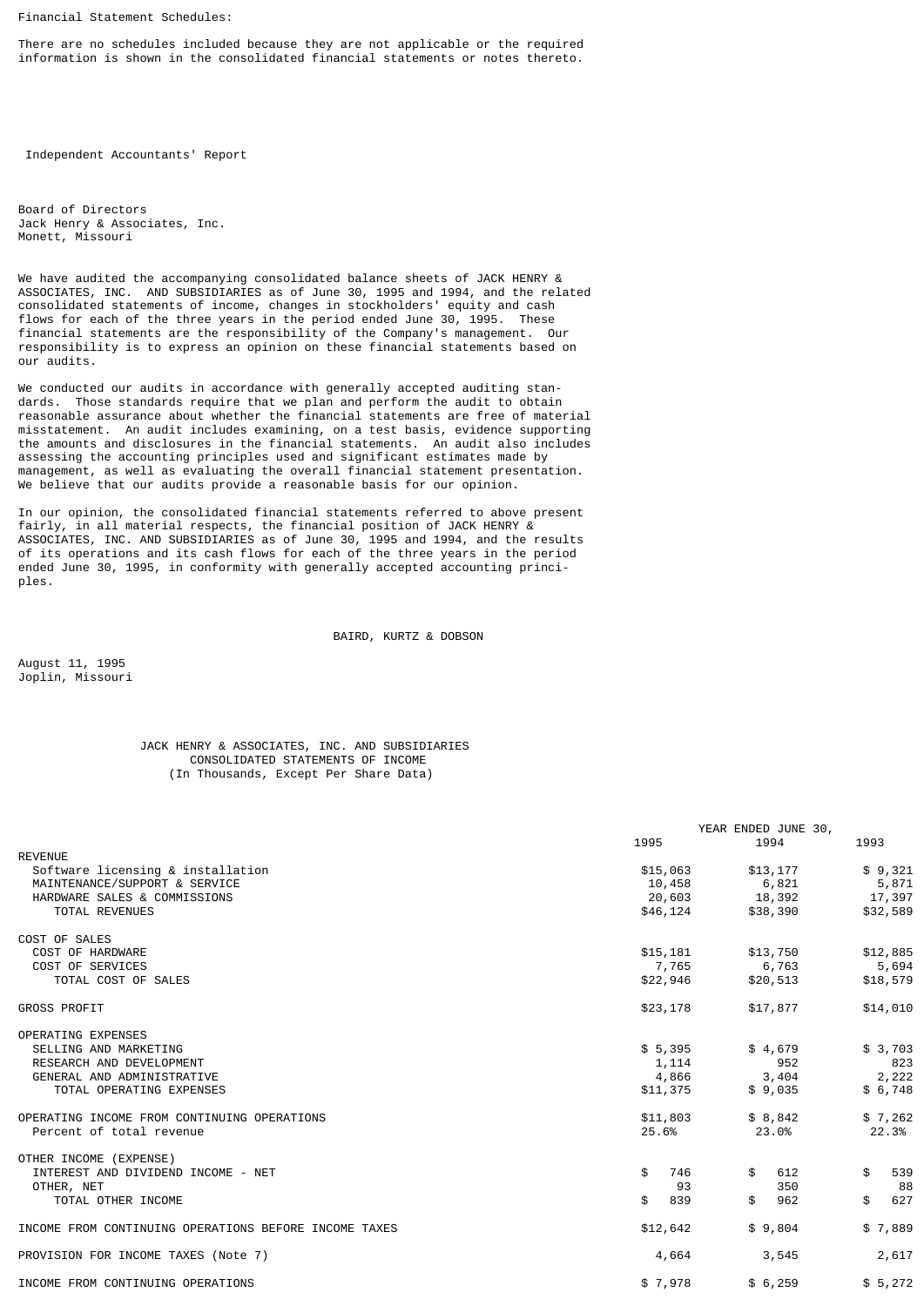Financial Statement Schedules:

There are no schedules included because they are not applicable or the required information is shown in the consolidated financial statements or notes thereto.

Independent Accountants' Report

Board of Directors Jack Henry & Associates, Inc. Monett, Missouri

We have audited the accompanying consolidated balance sheets of JACK HENRY & ASSOCIATES, INC. AND SUBSIDIARIES as of June 30, 1995 and 1994, and the related consolidated statements of income, changes in stockholders' equity and cash flows for each of the three years in the period ended June 30, 1995. These financial statements are the responsibility of the Company's management. Our responsibility is to express an opinion on these financial statements based on our audits.

We conducted our audits in accordance with generally accepted auditing stan-<br>dards. Those standards require that we plan and perform the audit to obtain Those standards require that we plan and perform the audit to obtain reasonable assurance about whether the financial statements are free of material misstatement. An audit includes examining, on a test basis, evidence supporting the amounts and disclosures in the financial statements. An audit also includes assessing the accounting principles used and significant estimates made by management, as well as evaluating the overall financial statement presentation. We believe that our audits provide a reasonable basis for our opinion.

In our opinion, the consolidated financial statements referred to above present fairly, in all material respects, the financial position of JACK HENRY & ASSOCIATES, INC. AND SUBSIDIARIES as of June 30, 1995 and 1994, and the results of its operations and its cash flows for each of the three years in the period ended June 30, 1995, in conformity with generally accepted accounting principles.

BAIRD, KURTZ & DOBSON

August 11, 1995 Joplin, Missouri

# JACK HENRY & ASSOCIATES, INC. AND SUBSIDIARIES CONSOLIDATED STATEMENTS OF INCOME (In Thousands, Except Per Share Data)

|                                                       |           | YEAR ENDED JUNE 30, |           |
|-------------------------------------------------------|-----------|---------------------|-----------|
|                                                       | 1995      | 1994                | 1993      |
| <b>REVENUE</b>                                        |           |                     |           |
| Software licensing & installation                     | \$15,063  | \$13,177            | \$9,321   |
| MAINTENANCE/SUPPORT & SERVICE                         | 10,458    | 6,821               | 5,871     |
| HARDWARE SALES & COMMISSIONS                          | 20,603    | 18,392              | 17,397    |
| TOTAL REVENUES                                        | \$46,124  | \$38,390            | \$32,589  |
| COST OF SALES                                         |           |                     |           |
| COST OF HARDWARE                                      | \$15,181  | \$13,750            | \$12,885  |
| COST OF SERVICES                                      | 7,765     | 6,763               | 5,694     |
| TOTAL COST OF SALES                                   | \$22,946  | \$20,513            | \$18,579  |
| <b>GROSS PROFIT</b>                                   | \$23,178  | \$17,877            | \$14,010  |
| <b>OPERATING EXPENSES</b>                             |           |                     |           |
| SELLING AND MARKETING                                 | \$5,395   | \$4,679             | \$3,703   |
| RESEARCH AND DEVELOPMENT                              | 1,114     | 952                 | 823       |
| GENERAL AND ADMINISTRATIVE                            | 4,866     | 3,404               | 2,222     |
| TOTAL OPERATING EXPENSES                              | \$11,375  | \$9,035             | \$6,748   |
| OPERATING INCOME FROM CONTINUING OPERATIONS           | \$11,803  | \$8,842             | \$7,262   |
| Percent of total revenue                              | 25.6%     | 23.0%               | 22.3%     |
| OTHER INCOME (EXPENSE)                                |           |                     |           |
| INTEREST AND DIVIDEND INCOME - NET                    | \$<br>746 | 612<br>$\mathbb{S}$ | 539<br>\$ |
| OTHER, NET                                            | 93        | 350                 | 88        |
| TOTAL OTHER INCOME                                    | \$<br>839 | 962<br>\$           | \$<br>627 |
| INCOME FROM CONTINUING OPERATIONS BEFORE INCOME TAXES | \$12,642  | \$9,804             | \$7,889   |
| PROVISION FOR INCOME TAXES (Note 7)                   | 4,664     | 3,545               | 2,617     |
| INCOME FROM CONTINUING OPERATIONS                     | \$7,978   | \$6,259             | \$5,272   |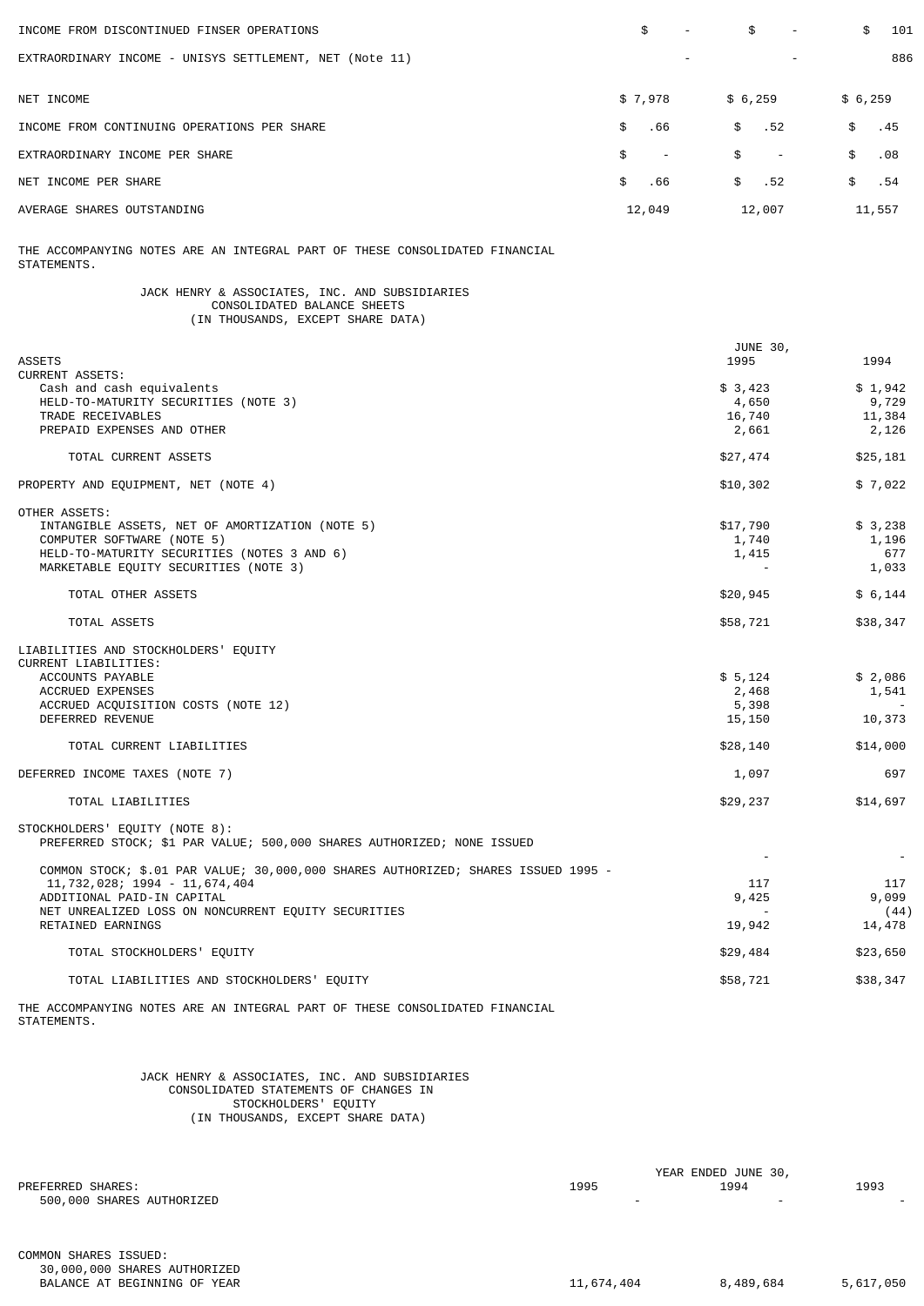| INCOME FROM DISCONTINUED FINSER OPERATIONS                                                                                                                                                                                   | \$               | \$                                              | 101<br>\$                              |
|------------------------------------------------------------------------------------------------------------------------------------------------------------------------------------------------------------------------------|------------------|-------------------------------------------------|----------------------------------------|
| EXTRAORDINARY INCOME - UNISYS SETTLEMENT, NET (Note 11)                                                                                                                                                                      |                  |                                                 | 886                                    |
|                                                                                                                                                                                                                              |                  |                                                 |                                        |
| NET INCOME                                                                                                                                                                                                                   | \$7,978          | \$6,259                                         | \$6,259                                |
| INCOME FROM CONTINUING OPERATIONS PER SHARE                                                                                                                                                                                  | \$<br>.66        | \$<br>.52                                       | .45<br>\$                              |
| EXTRAORDINARY INCOME PER SHARE                                                                                                                                                                                               | \$<br>$\sim$ $-$ | \$<br>$\sim$ $-$                                | \$<br>.08                              |
| NET INCOME PER SHARE                                                                                                                                                                                                         | \$<br>.66        | \$<br>.52                                       | \$<br>.54                              |
| AVERAGE SHARES OUTSTANDING                                                                                                                                                                                                   | 12,049           | 12,007                                          | 11,557                                 |
| THE ACCOMPANYING NOTES ARE AN INTEGRAL PART OF THESE CONSOLIDATED FINANCIAL<br>STATEMENTS.                                                                                                                                   |                  |                                                 |                                        |
| JACK HENRY & ASSOCIATES, INC. AND SUBSIDIARIES<br>CONSOLIDATED BALANCE SHEETS<br>(IN THOUSANDS, EXCEPT SHARE DATA)                                                                                                           |                  |                                                 |                                        |
| <b>ASSETS</b>                                                                                                                                                                                                                |                  | JUNE 30,<br>1995                                | 1994                                   |
| <b>CURRENT ASSETS:</b><br>Cash and cash equivalents<br>HELD-TO-MATURITY SECURITIES (NOTE 3)<br>TRADE RECEIVABLES<br>PREPAID EXPENSES AND OTHER                                                                               |                  | \$3,423<br>4,650<br>16,740<br>2,661             | \$1,942<br>9,729<br>11,384<br>2,126    |
| TOTAL CURRENT ASSETS                                                                                                                                                                                                         |                  | \$27,474                                        | \$25,181                               |
| PROPERTY AND EQUIPMENT, NET (NOTE 4)                                                                                                                                                                                         |                  | \$10,302                                        | \$7,022                                |
| OTHER ASSETS:<br>INTANGIBLE ASSETS, NET OF AMORTIZATION (NOTE 5)<br>COMPUTER SOFTWARE (NOTE 5)<br>HELD-TO-MATURITY SECURITIES (NOTES 3 AND 6)<br>MARKETABLE EQUITY SECURITIES (NOTE 3)                                       |                  | \$17,790<br>1,740<br>1,415                      | \$ 3,238<br>1,196<br>677<br>1,033      |
| TOTAL OTHER ASSETS                                                                                                                                                                                                           |                  | \$20,945                                        | \$6,144                                |
| TOTAL ASSETS                                                                                                                                                                                                                 |                  | \$58,721                                        | \$38,347                               |
| LIABILITIES AND STOCKHOLDERS' EQUITY<br>CURRENT LIABILITIES:<br>ACCOUNTS PAYABLE<br><b>ACCRUED EXPENSES</b><br>ACCRUED ACQUISITION COSTS (NOTE 12)<br>DEFERRED REVENUE<br>TOTAL CURRENT LIABILITIES                          |                  | \$5,124<br>2,468<br>5,398<br>15,150<br>\$28,140 | \$2,086<br>1,541<br>10,373<br>\$14,000 |
| DEFERRED INCOME TAXES (NOTE 7)                                                                                                                                                                                               |                  | 1,097                                           | 697                                    |
| TOTAL LIABILITIES                                                                                                                                                                                                            |                  | \$29,237                                        | \$14,697                               |
| STOCKHOLDERS' EQUITY (NOTE 8):<br>PREFERRED STOCK; \$1 PAR VALUE; 500,000 SHARES AUTHORIZED; NONE ISSUED                                                                                                                     |                  |                                                 |                                        |
| COMMON STOCK; \$.01 PAR VALUE; 30,000,000 SHARES AUTHORIZED; SHARES ISSUED 1995 -<br>11,732,028; 1994 - 11,674,404<br>ADDITIONAL PAID-IN CAPITAL<br>NET UNREALIZED LOSS ON NONCURRENT EQUITY SECURITIES<br>RETAINED EARNINGS |                  | 117<br>9,425<br>19,942                          | 117<br>9,099<br>(44)<br>14,478         |
| TOTAL STOCKHOLDERS' EQUITY                                                                                                                                                                                                   |                  | \$29,484                                        | \$23,650                               |
| TOTAL LIABILITIES AND STOCKHOLDERS' EQUITY                                                                                                                                                                                   |                  | \$58,721                                        | \$38,347                               |
| THE ACCOMPANYING NOTES ARE AN INTEGRAL PART OF THESE CONSOLIDATED FINANCIAL<br>STATEMENTS.                                                                                                                                   |                  |                                                 |                                        |

 JACK HENRY & ASSOCIATES, INC. AND SUBSIDIARIES CONSOLIDATED STATEMENTS OF CHANGES IN STOCKHOLDERS' EQUITY (IN THOUSANDS, EXCEPT SHARE DATA)

|                           | YEAR ENDED JUNE 30, |      |                          |  |
|---------------------------|---------------------|------|--------------------------|--|
| PREFERRED SHARES:         | 1995                | 1994 | 1993                     |  |
| 500,000 SHARES AUTHORIZED |                     |      | $\overline{\phantom{0}}$ |  |
|                           |                     |      |                          |  |
|                           |                     |      |                          |  |
|                           |                     |      |                          |  |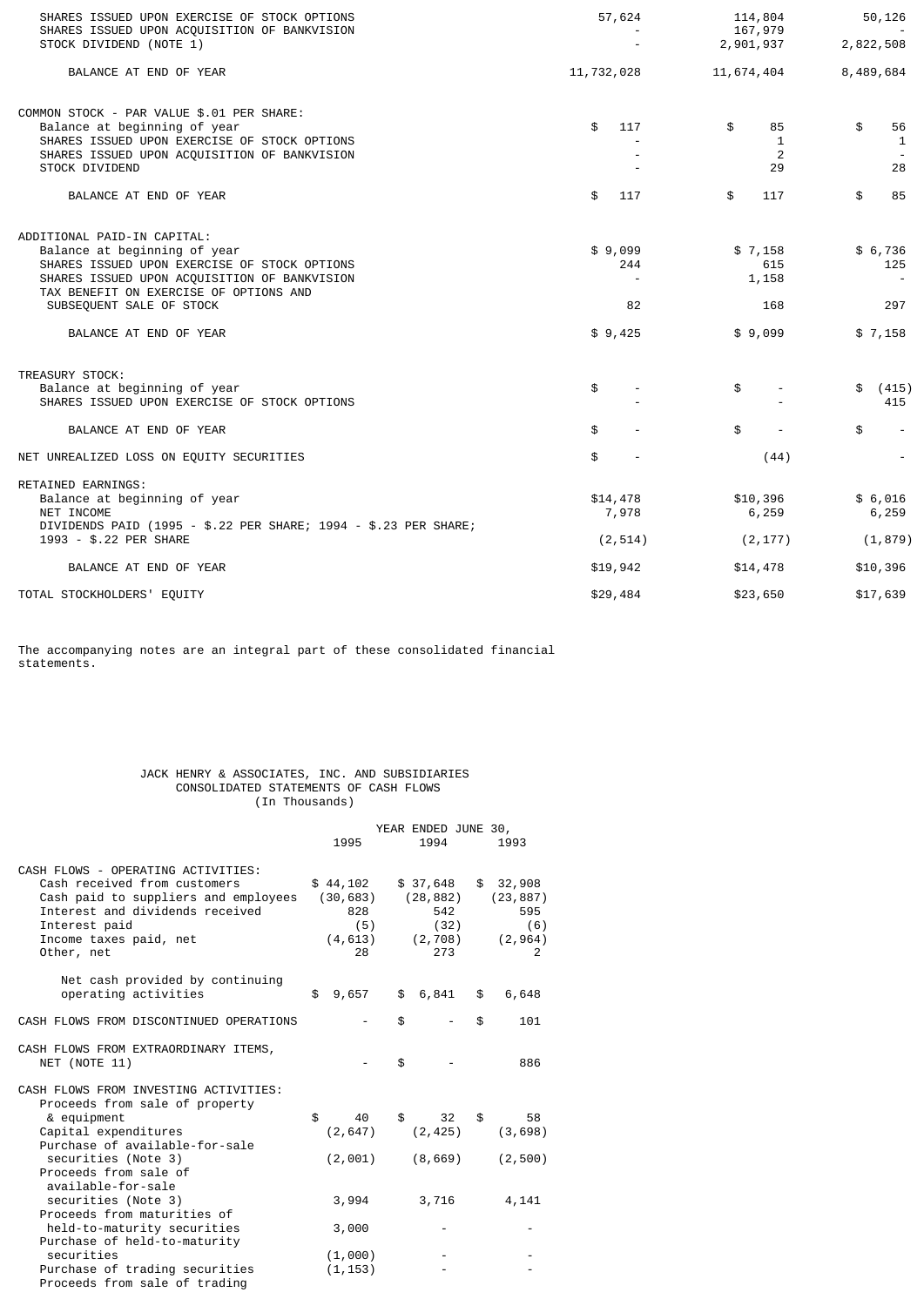| SHARES ISSUED UPON EXERCISE OF STOCK OPTIONS<br>SHARES ISSUED UPON ACQUISITION OF BANKVISION                                                                                                                                                                | 57,624                                                      | 114,804<br>167,979                        | 50,126                                                       |
|-------------------------------------------------------------------------------------------------------------------------------------------------------------------------------------------------------------------------------------------------------------|-------------------------------------------------------------|-------------------------------------------|--------------------------------------------------------------|
| STOCK DIVIDEND (NOTE 1)                                                                                                                                                                                                                                     |                                                             | 2,901,937                                 | 2,822,508                                                    |
| BALANCE AT END OF YEAR                                                                                                                                                                                                                                      | 11,732,028                                                  | 11,674,404                                | 8,489,684                                                    |
| COMMON STOCK - PAR VALUE \$.01 PER SHARE:<br>Balance at beginning of year<br>SHARES ISSUED UPON EXERCISE OF STOCK OPTIONS<br>SHARES ISSUED UPON ACQUISITION OF BANKVISION<br><b>STOCK DIVIDEND</b>                                                          | \$<br>117                                                   | \$<br>85<br>1<br>2<br>29                  | \$<br>56<br>1<br>28                                          |
| BALANCE AT END OF YEAR                                                                                                                                                                                                                                      | \$<br>117                                                   | \$<br>117                                 | \$<br>85                                                     |
| ADDITIONAL PAID-IN CAPITAL:<br>Balance at beginning of year<br>SHARES ISSUED UPON EXERCISE OF STOCK OPTIONS<br>SHARES ISSUED UPON ACQUISITION OF BANKVISION<br>TAX BENEFIT ON EXERCISE OF OPTIONS AND<br>SUBSEQUENT SALE OF STOCK<br>BALANCE AT END OF YEAR | \$9,099<br>244<br>$\overline{\phantom{a}}$<br>82<br>\$9,425 | \$7,158<br>615<br>1,158<br>168<br>\$9,099 | \$6,736<br>125<br>$\overline{\phantom{a}}$<br>297<br>\$7,158 |
| TREASURY STOCK:<br>Balance at beginning of year<br>SHARES ISSUED UPON EXERCISE OF STOCK OPTIONS                                                                                                                                                             | \$                                                          | \$                                        | \$<br>(415)<br>415                                           |
| BALANCE AT END OF YEAR                                                                                                                                                                                                                                      | \$                                                          | \$                                        | \$                                                           |
| NET UNREALIZED LOSS ON EQUITY SECURITIES                                                                                                                                                                                                                    | \$                                                          | (44)                                      |                                                              |
| RETAINED EARNINGS:<br>Balance at beginning of year<br>NET INCOME<br>DIVIDENDS PAID (1995 - \$.22 PER SHARE; 1994 - \$.23 PER SHARE;<br>1993 - \$.22 PER SHARE                                                                                               | \$14,478<br>7,978<br>(2, 514)                               | \$10,396<br>6,259<br>(2, 177)             | \$6,016<br>6,259<br>(1, 879)                                 |
| BALANCE AT END OF YEAR                                                                                                                                                                                                                                      | \$19,942                                                    | \$14,478                                  | \$10,396                                                     |
| TOTAL STOCKHOLDERS' EQUITY                                                                                                                                                                                                                                  | \$29,484                                                    | \$23,650                                  | \$17,639                                                     |

The accompanying notes are an integral part of these consolidated financial statements.

# JACK HENRY & ASSOCIATES, INC. AND SUBSIDIARIES CONSOLIDATED STATEMENTS OF CASH FLOWS (In Thousands)

|                                                                                                                                                                                                        | 1995                                                  | YEAR ENDED JUNE 30, | 1994                                                     | 1993                                                     |
|--------------------------------------------------------------------------------------------------------------------------------------------------------------------------------------------------------|-------------------------------------------------------|---------------------|----------------------------------------------------------|----------------------------------------------------------|
| CASH FLOWS - OPERATING ACTIVITIES:<br>Cash received from customers<br>Cash paid to suppliers and employees<br>Interest and dividends received<br>Interest paid<br>Income taxes paid, net<br>Other, net | \$44,102<br>(30, 683)<br>828<br>(5)<br>(4, 613)<br>28 |                     | \$ 37,648<br>(28, 882)<br>542<br>(32)<br>(2, 708)<br>273 | \$<br>32,908<br>(23, 887)<br>595<br>(6)<br>(2, 964)<br>2 |
| Net cash provided by continuing<br>operating activities                                                                                                                                                | \$<br>9,657                                           |                     | \$6,841                                                  | \$<br>6,648                                              |
| CASH FLOWS FROM DISCONTINUED OPERATIONS                                                                                                                                                                |                                                       | \$                  |                                                          | \$<br>101                                                |
| CASH FLOWS FROM EXTRAORDINARY ITEMS,<br>NET (NOTE 11)                                                                                                                                                  |                                                       | \$                  |                                                          | 886                                                      |
| CASH FLOWS FROM INVESTING ACTIVITIES:<br>Proceeds from sale of property                                                                                                                                |                                                       |                     |                                                          |                                                          |
| & equipment<br>Capital expenditures<br>Purchase of available-for-sale                                                                                                                                  | \$<br>40<br>(2, 647)                                  | \$                  | 32<br>(2, 425)                                           | \$<br>58<br>(3,698)                                      |
| securities (Note 3)<br>Proceeds from sale of<br>available-for-sale                                                                                                                                     | (2,001)                                               |                     | (8,669)                                                  | (2, 500)                                                 |
| securities (Note 3)                                                                                                                                                                                    | 3,994                                                 |                     | 3,716                                                    | 4,141                                                    |
| Proceeds from maturities of<br>held-to-maturity securities                                                                                                                                             | 3,000                                                 |                     |                                                          |                                                          |
| Purchase of held-to-maturity<br>securities                                                                                                                                                             | (1,000)                                               |                     |                                                          |                                                          |
| Purchase of trading securities<br>Proceeds from sale of trading                                                                                                                                        | (1, 153)                                              |                     |                                                          |                                                          |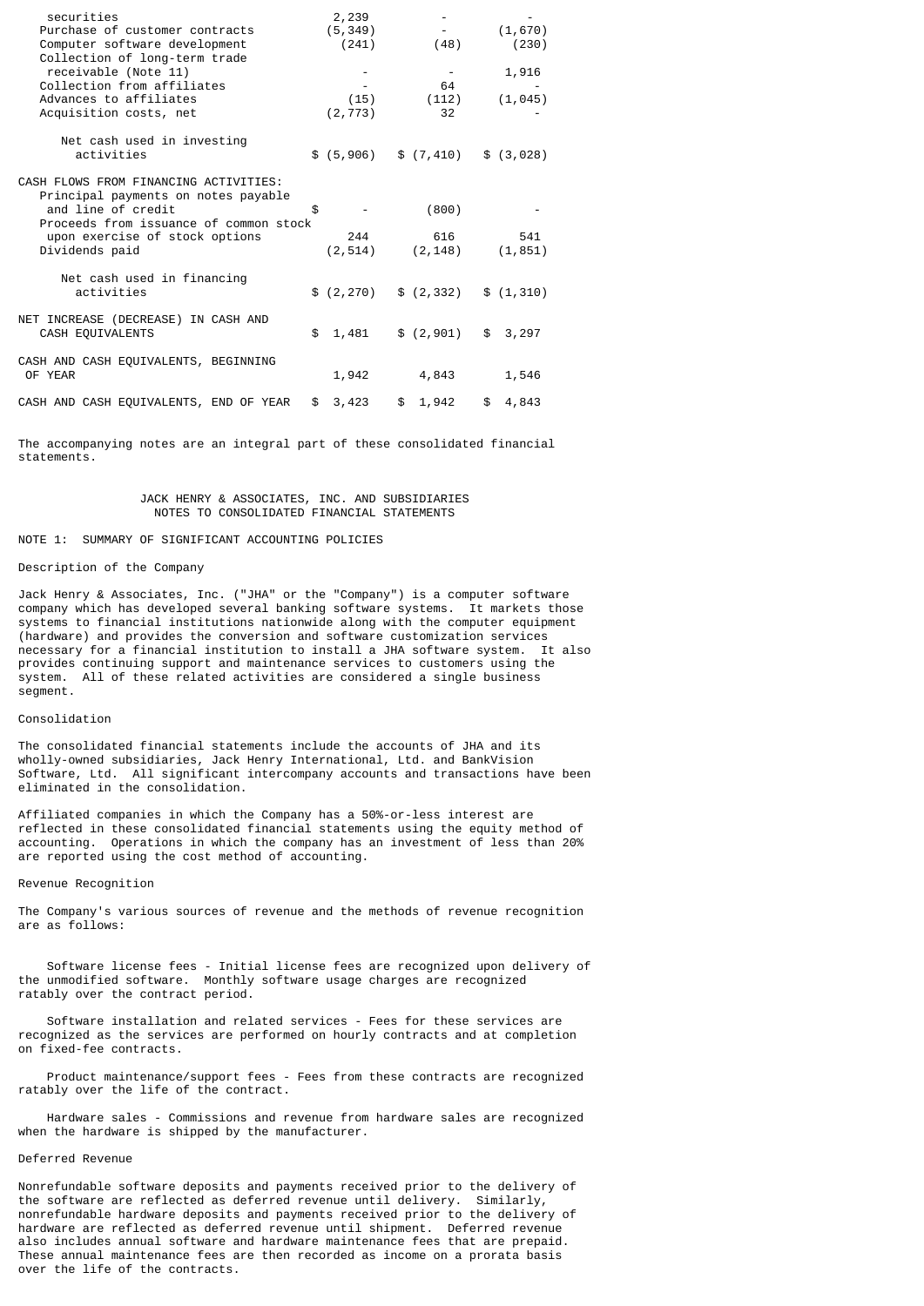| securities<br>Purchase of customer contracts<br>Computer software development<br>Collection of long-term trade                                                                                   | 2,239<br>(5, 349)<br>(241) | (48)                     | (1,670)<br>(230)  |
|--------------------------------------------------------------------------------------------------------------------------------------------------------------------------------------------------|----------------------------|--------------------------|-------------------|
| receivable (Note 11)<br>Collection from affiliates<br>Advances to affiliates<br>Acquisition costs, net                                                                                           | (15)<br>(2, 773)           | 64<br>(112)<br>32        | 1,916<br>(1, 045) |
| Net cash used in investing<br>activities                                                                                                                                                         | \$(5,906)                  | \$(7, 410)               | \$ (3,028)        |
| CASH FLOWS FROM FINANCING ACTIVITIES:<br>Principal payments on notes payable<br>and line of credit<br>Proceeds from issuance of common stock<br>upon exercise of stock options<br>Dividends paid | \$<br>244<br>(2, 514)      | (800)<br>616<br>(2, 148) | 541<br>(1, 851)   |
| Net cash used in financing<br>activities                                                                                                                                                         | \$(2, 270)                 | \$(2, 332)               | \$(1,310)         |
| NET INCREASE (DECREASE) IN CASH AND<br>CASH EQUIVALENTS                                                                                                                                          | \$<br>1,481                | \$(2,901)                | \$3,297           |
| CASH AND CASH EQUIVALENTS, BEGINNING<br>OF YEAR                                                                                                                                                  | 1,942                      | 4,843                    | 1,546             |
| CASH AND CASH EQUIVALENTS, END OF YEAR                                                                                                                                                           | \$<br>3,423                | \$1,942                  | \$<br>4,843       |

The accompanying notes are an integral part of these consolidated financial statements.

# JACK HENRY & ASSOCIATES, INC. AND SUBSIDIARIES NOTES TO CONSOLIDATED FINANCIAL STATEMENTS

# NOTE 1: SUMMARY OF SIGNIFICANT ACCOUNTING POLICIES

# Description of the Company

Jack Henry & Associates, Inc. ("JHA" or the "Company") is a computer software company which has developed several banking software systems. It markets those systems to financial institutions nationwide along with the computer equipment (hardware) and provides the conversion and software customization services necessary for a financial institution to install a JHA software system. It also provides continuing support and maintenance services to customers using the system. All of these related activities are considered a single business segment.

# Consolidation

The consolidated financial statements include the accounts of JHA and its wholly-owned subsidiaries, Jack Henry International, Ltd. and BankVision Software, Ltd. All significant intercompany accounts and transactions have been eliminated in the consolidation.

Affiliated companies in which the Company has a 50%-or-less interest are reflected in these consolidated financial statements using the equity method of accounting. Operations in which the company has an investment of less than 20% are reported using the cost method of accounting.

#### Revenue Recognition

The Company's various sources of revenue and the methods of revenue recognition are as follows:

 Software license fees - Initial license fees are recognized upon delivery of the unmodified software. Monthly software usage charges are recognized ratably over the contract period.

 Software installation and related services - Fees for these services are recognized as the services are performed on hourly contracts and at completion on fixed-fee contracts.

 Product maintenance/support fees - Fees from these contracts are recognized ratably over the life of the contract.

 Hardware sales - Commissions and revenue from hardware sales are recognized when the hardware is shipped by the manufacturer.

## Deferred Revenue

Nonrefundable software deposits and payments received prior to the delivery of the software are reflected as deferred revenue until delivery. Similarly, nonrefundable hardware deposits and payments received prior to the delivery of hardware are reflected as deferred revenue until shipment. Deferred revenue also includes annual software and hardware maintenance fees that are prepaid. These annual maintenance fees are then recorded as income on a prorata basis over the life of the contracts.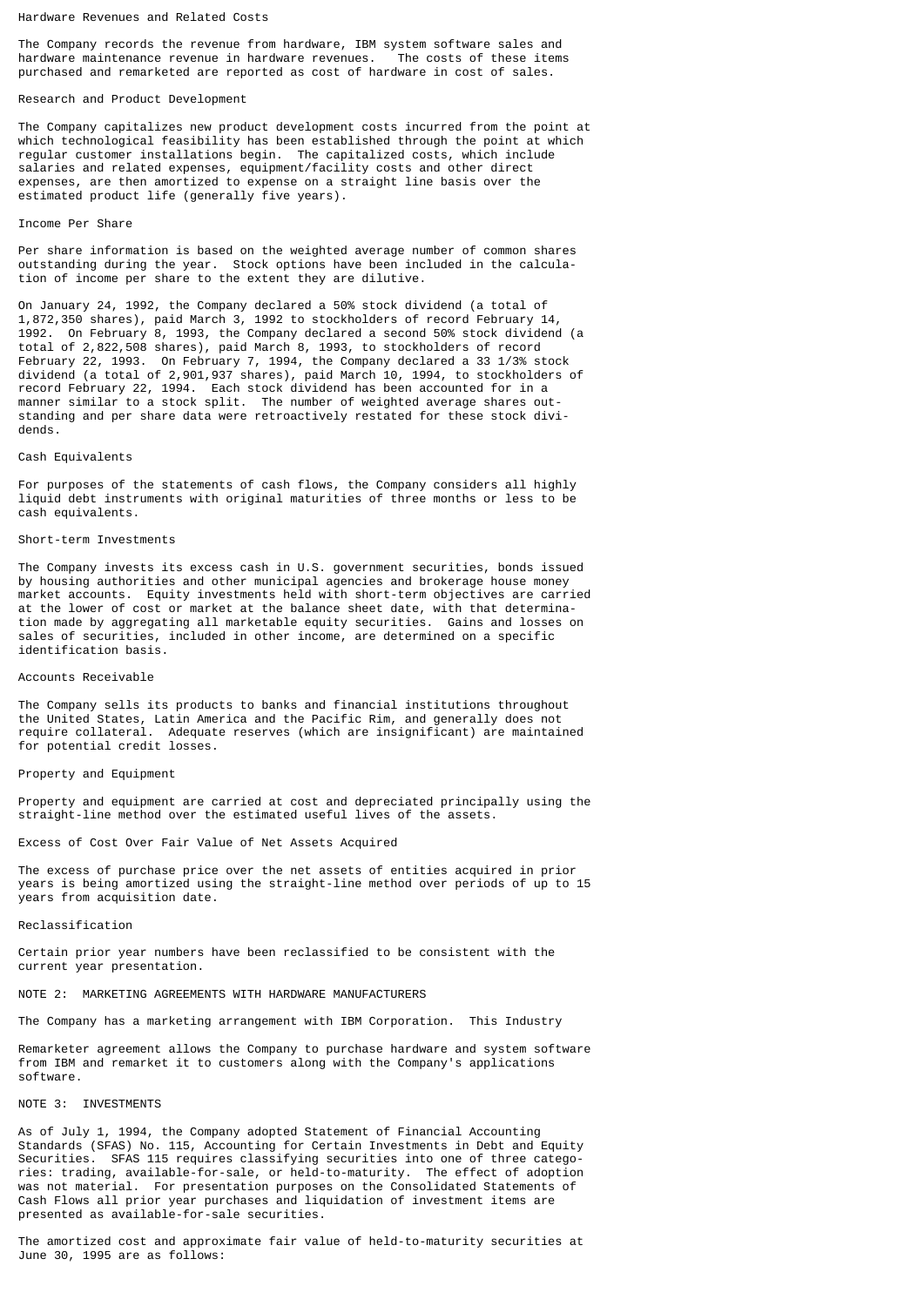## Hardware Revenues and Related Costs

The Company records the revenue from hardware, IBM system software sales and hardware maintenance revenue in hardware revenues. The costs of these items purchased and remarketed are reported as cost of hardware in cost of sales.

## Research and Product Development

The Company capitalizes new product development costs incurred from the point at which technological feasibility has been established through the point at which regular customer installations begin. The capitalized costs, which include salaries and related expenses, equipment/facility costs and other direct expenses, are then amortized to expense on a straight line basis over the estimated product life (generally five years).

#### Income Per Share

Per share information is based on the weighted average number of common shares outstanding during the year. Stock options have been included in the calculation of income per share to the extent they are dilutive.

On January 24, 1992, the Company declared a 50% stock dividend (a total of 1,872,350 shares), paid March 3, 1992 to stockholders of record February 14, 1992. On February 8, 1993, the Company declared a second 50% stock dividend (a total of 2,822,508 shares), paid March 8, 1993, to stockholders of record February 22, 1993. On February 7, 1994, the Company declared a 33 1/3% stock dividend (a total of 2,901,937 shares), paid March 10, 1994, to stockholders of record February 22, 1994. Each stock dividend has been accounted for in a manner similar to a stock split. The number of weighted average shares outstanding and per share data were retroactively restated for these stock dividends.

#### Cash Equivalents

For purposes of the statements of cash flows, the Company considers all highly liquid debt instruments with original maturities of three months or less to be cash equivalents.

## Short-term Investments

The Company invests its excess cash in U.S. government securities, bonds issued by housing authorities and other municipal agencies and brokerage house money market accounts. Equity investments held with short-term objectives are carried at the lower of cost or market at the balance sheet date, with that determination made by aggregating all marketable equity securities. Gains and losses on sales of securities, included in other income, are determined on a specific identification basis.

#### Accounts Receivable

The Company sells its products to banks and financial institutions throughout the United States, Latin America and the Pacific Rim, and generally does not require collateral. Adequate reserves (which are insignificant) are maintained for potential credit losses.

# Property and Equipment

Property and equipment are carried at cost and depreciated principally using the straight-line method over the estimated useful lives of the assets.

Excess of Cost Over Fair Value of Net Assets Acquired

The excess of purchase price over the net assets of entities acquired in prior years is being amortized using the straight-line method over periods of up to 15 years from acquisition date.

#### Reclassification

Certain prior year numbers have been reclassified to be consistent with the current year presentation.

# NOTE 2: MARKETING AGREEMENTS WITH HARDWARE MANUFACTURERS

The Company has a marketing arrangement with IBM Corporation. This Industry

Remarketer agreement allows the Company to purchase hardware and system software from IBM and remarket it to customers along with the Company's applications software.

#### NOTE 3: INVESTMENTS

As of July 1, 1994, the Company adopted Statement of Financial Accounting Standards (SFAS) No. 115, Accounting for Certain Investments in Debt and Equity Securities. SFAS 115 requires classifying securities into one of three categories: trading, available-for-sale, or held-to-maturity. The effect of adoption was not material. For presentation purposes on the Consolidated Statements of Cash Flows all prior year purchases and liquidation of investment items are presented as available-for-sale securities.

The amortized cost and approximate fair value of held-to-maturity securities at June 30, 1995 are as follows: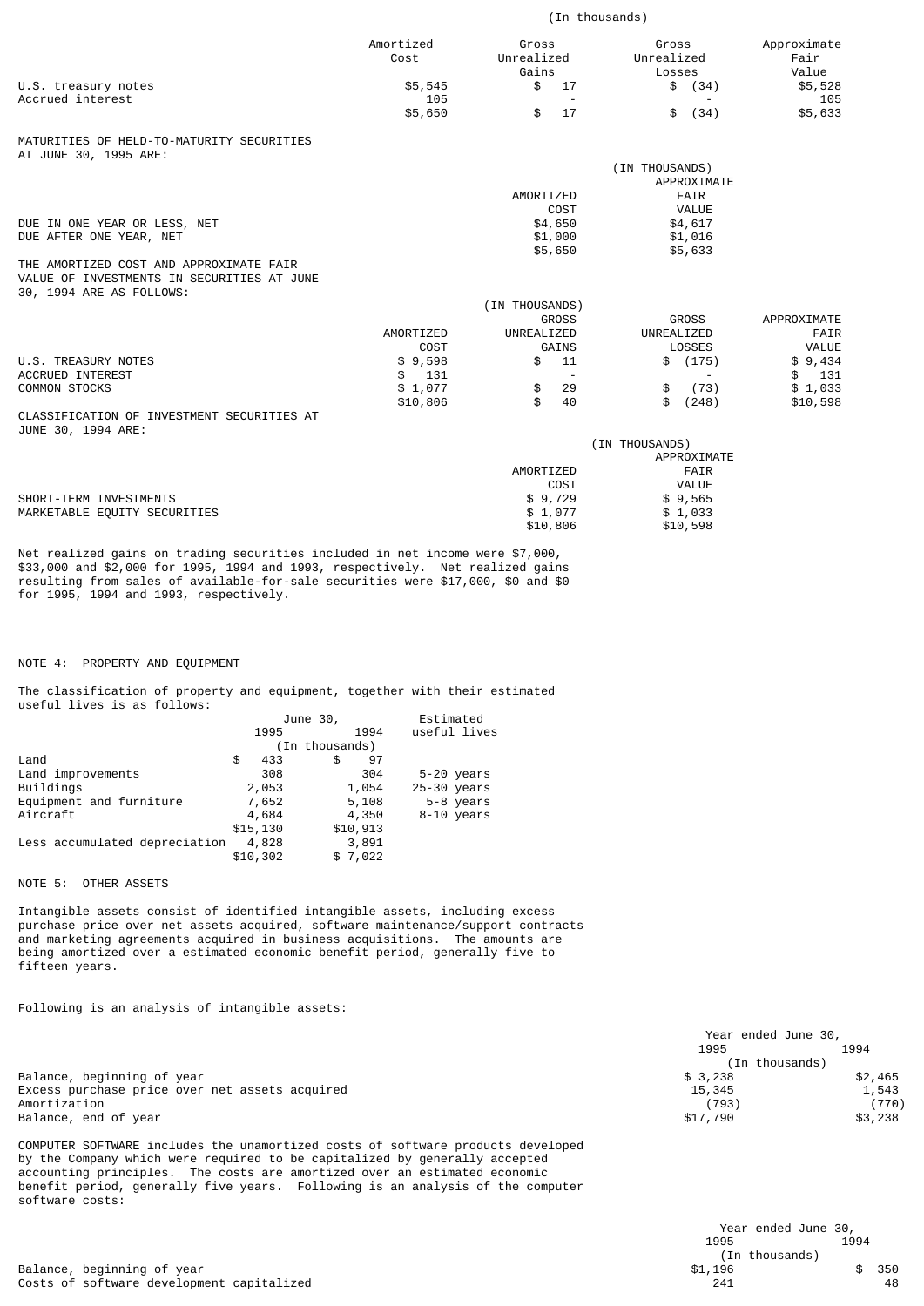|                                                                                                                   | (In thousands)       |                                      |                                      |                              |
|-------------------------------------------------------------------------------------------------------------------|----------------------|--------------------------------------|--------------------------------------|------------------------------|
|                                                                                                                   | Amortized<br>Cost    | Gross<br>Unrealized<br>Gains         | Gross<br>Unrealized<br>Losses        | Approximate<br>Fair<br>Value |
| U.S. treasury notes                                                                                               | \$5,545              | \$<br>17                             | \$<br>(34)                           | \$5,528                      |
| Accrued interest                                                                                                  | 105                  |                                      |                                      | 105                          |
|                                                                                                                   | \$5,650              | \$<br>17                             | (34)<br>\$                           | \$5,633                      |
| MATURITIES OF HELD-TO-MATURITY SECURITIES<br>AT JUNE 30, 1995 ARE:                                                |                      |                                      |                                      |                              |
|                                                                                                                   |                      |                                      | (IN THOUSANDS)                       |                              |
|                                                                                                                   |                      | AMORTIZED                            | APPROXIMATE<br><b>FAIR</b>           |                              |
|                                                                                                                   |                      | COST                                 | VALUE                                |                              |
| DUE IN ONE YEAR OR LESS, NET                                                                                      |                      | \$4,650                              | \$4,617                              |                              |
| DUE AFTER ONE YEAR, NET                                                                                           |                      | \$1,000                              | \$1,016                              |                              |
|                                                                                                                   |                      | \$5,650                              | \$5,633                              |                              |
| THE AMORTIZED COST AND APPROXIMATE FAIR<br>VALUE OF INVESTMENTS IN SECURITIES AT JUNE<br>30, 1994 ARE AS FOLLOWS: |                      |                                      |                                      |                              |
|                                                                                                                   |                      | (IN THOUSANDS)                       |                                      |                              |
|                                                                                                                   |                      | <b>GROSS</b>                         | <b>GROSS</b>                         | APPROXIMATE                  |
|                                                                                                                   | AMORTIZED            | UNREALIZED                           | UNREALIZED                           | FAIR                         |
| U.S. TREASURY NOTES                                                                                               | COST                 | GAINS                                | LOSSES                               | VALUE                        |
| <b>ACCRUED INTEREST</b>                                                                                           | \$9,598<br>\$<br>131 | 11<br>\$<br>$\overline{\phantom{a}}$ | \$ (175)<br>$\overline{\phantom{a}}$ | \$9,434<br>\$<br>131         |
| <b>COMMON STOCKS</b>                                                                                              | \$1,077              | \$<br>29                             | \$<br>(73)                           | \$1,033                      |
|                                                                                                                   | \$10,806             | \$<br>40                             | \$<br>(248)                          | \$10,598                     |
| CLASSIFICATION OF INVESTMENT SECURITIES AT<br>JUNE 30, 1994 ARE:                                                  |                      |                                      |                                      |                              |
|                                                                                                                   |                      |                                      | (IN THOUSANDS)                       |                              |
|                                                                                                                   |                      | AMORTIZED                            | APPROXIMATE                          |                              |
|                                                                                                                   |                      | COST                                 | FAIR<br>VALUE                        |                              |
| SHORT-TERM INVESTMENTS                                                                                            |                      | \$9,729                              | \$9,565                              |                              |
| MARKETABLE EQUITY SECURITIES                                                                                      |                      | \$1,077                              | \$1,033                              |                              |
|                                                                                                                   |                      | \$10,806                             | \$10,598                             |                              |
|                                                                                                                   |                      |                                      |                                      |                              |

Net realized gains on trading securities included in net income were \$7,000, \$33,000 and \$2,000 for 1995, 1994 and 1993, respectively. Net realized gains resulting from sales of available-for-sale securities were \$17,000, \$0 and \$0 for 1995, 1994 and 1993, respectively.

NOTE 4: PROPERTY AND EQUIPMENT

The classification of property and equipment, together with their estimated useful lives is as follows:

|                               |           | June 30,       | Estimated     |
|-------------------------------|-----------|----------------|---------------|
|                               | 1995      | 1994           | useful lives  |
|                               |           | (In thousands) |               |
| Land                          | 433<br>\$ | 97<br>\$       |               |
| Land improvements             | 308       | 304            | 5-20 years    |
| Buildings                     | 2,053     | 1,054          | $25-30$ years |
| Equipment and furniture       | 7,652     | 5,108          | 5-8 years     |
| Aircraft                      | 4,684     | 4,350          | 8-10 years    |
|                               | \$15, 130 | \$10,913       |               |
| Less accumulated depreciation | 4,828     | 3,891          |               |
|                               | \$10,302  | \$7,022        |               |
|                               |           |                |               |

NOTE 5: OTHER ASSETS

Intangible assets consist of identified intangible assets, including excess purchase price over net assets acquired, software maintenance/support contracts and marketing agreements acquired in business acquisitions. The amounts are being amortized over a estimated economic benefit period, generally five to fifteen years.

Following is an analysis of intangible assets:

COMPUTER SOFTWARE includes the unamortized costs of software products developed by the Company which were required to be capitalized by generally accepted accounting principles. The costs are amortized over an estimated economic benefit period, generally five years. Following is an analysis of the computer software costs:

|                                                | Year ended June 30, |         |  |
|------------------------------------------------|---------------------|---------|--|
|                                                | 1995                | 1994    |  |
|                                                | (In thousands)      |         |  |
| Balance, beginning of year                     | \$3,238             | \$2,465 |  |
| Excess purchase price over net assets acquired | 15,345              | 1,543   |  |
| Amortization                                   | (793)               | (770)   |  |
| Balance, end of year                           | \$17,790            | \$3,238 |  |
|                                                |                     |         |  |

|                                           | Year ended June 30,<br>1995 | 1994 |     |
|-------------------------------------------|-----------------------------|------|-----|
|                                           | (In thousands)              |      |     |
| Balance, beginning of year                | \$1.196                     |      | 350 |
| Costs of software development capitalized | 241                         |      | 48  |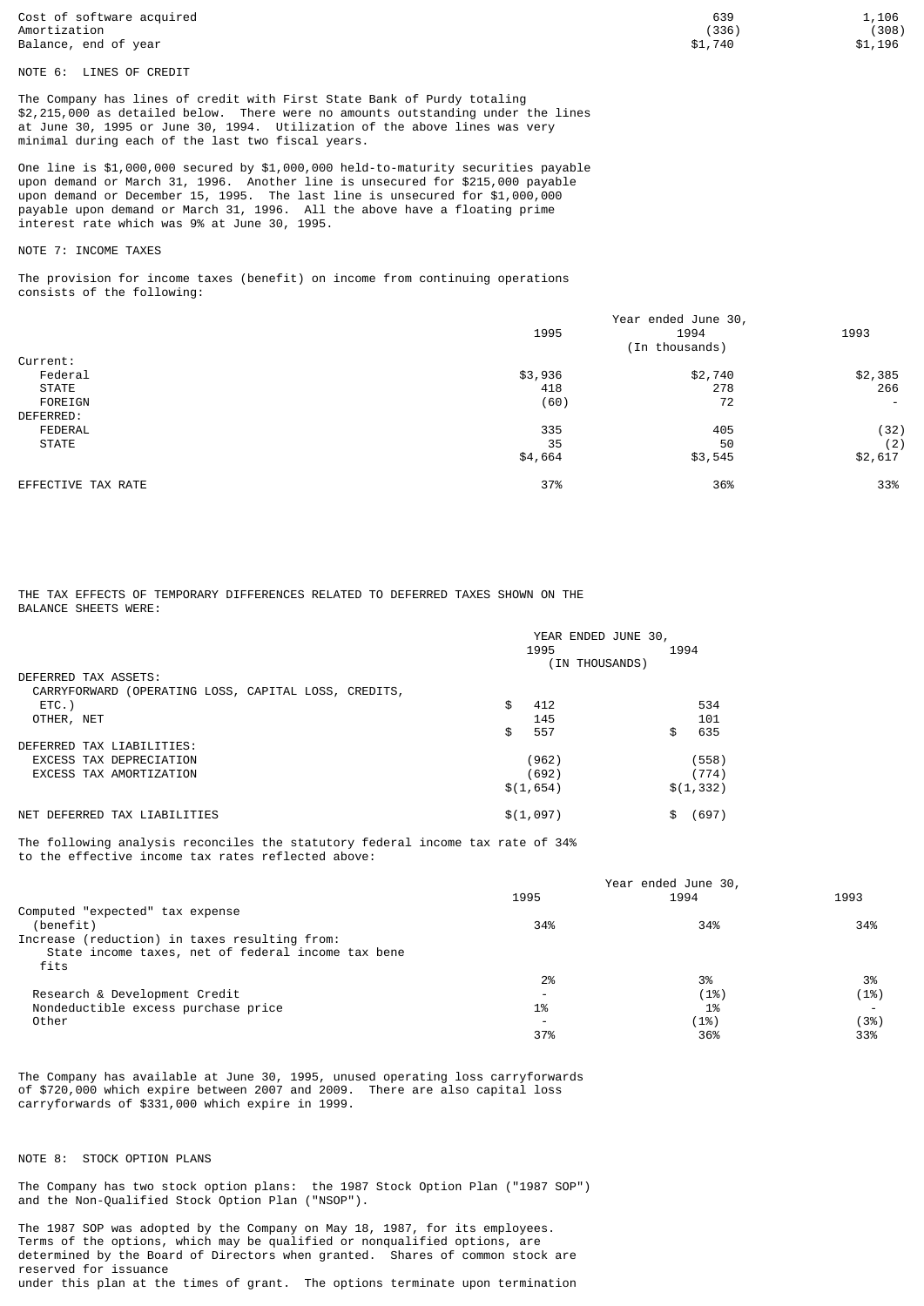Cost of software acquired 1,106 1,106 1,106 1,106 1,106 1,106 1,106 1,106 1,106 1,106<br>Amortization (338) Amortization (336) (308) Balance, end of year  $$1,196$   $$1,196$ 

NOTE 6: LINES OF CREDIT

The Company has lines of credit with First State Bank of Purdy totaling \$2,215,000 as detailed below. There were no amounts outstanding under the lines at June 30, 1995 or June 30, 1994. Utilization of the above lines was very minimal during each of the last two fiscal years.

One line is \$1,000,000 secured by \$1,000,000 held-to-maturity securities payable upon demand or March 31, 1996. Another line is unsecured for \$215,000 payable upon demand or December 15, 1995. The last line is unsecured for \$1,000,000 payable upon demand or March 31, 1996. All the above have a floating prime interest rate which was 9% at June 30, 1995.

# NOTE 7: INCOME TAXES

The provision for income taxes (benefit) on income from continuing operations consists of the following:

|                    | Year ended June 30,<br>1995<br>1994 |                |                          |
|--------------------|-------------------------------------|----------------|--------------------------|
|                    |                                     | (In thousands) | 1993                     |
| Current:           |                                     |                |                          |
| Federal            | \$3,936                             | \$2,740        | \$2,385                  |
| <b>STATE</b>       | 418                                 | 278            | 266                      |
| FOREIGN            | (60)                                | 72             | $\overline{\phantom{a}}$ |
| DEFERRED:          |                                     |                |                          |
| FEDERAL            | 335                                 | 405            | (32)                     |
| <b>STATE</b>       | 35                                  | 50             | (2)                      |
|                    | \$4,664                             | \$3,545        | \$2,617                  |
| EFFECTIVE TAX RATE | 37%                                 | 36%            | 33%                      |

THE TAX EFFECTS OF TEMPORARY DIFFERENCES RELATED TO DEFERRED TAXES SHOWN ON THE BALANCE SHEETS WERE:

|                                                      | YEAR ENDED JUNE 30, |                |            |       |
|------------------------------------------------------|---------------------|----------------|------------|-------|
|                                                      |                     | 1995           | 1994       |       |
|                                                      |                     | (IN THOUSANDS) |            |       |
| DEFERRED TAX ASSETS:                                 |                     |                |            |       |
| CARRYFORWARD (OPERATING LOSS, CAPITAL LOSS, CREDITS, |                     |                |            |       |
| $ETC.$ )                                             | \$                  | 412            |            | 534   |
| OTHER, NET                                           |                     | 145            |            | 101   |
|                                                      | \$                  | 557            | \$         | 635   |
| DEFERRED TAX LIABILITIES:                            |                     |                |            |       |
| EXCESS TAX DEPRECIATION                              |                     | (962)          |            | (558) |
| EXCESS TAX AMORTIZATION                              |                     | (692)          |            | (774) |
|                                                      |                     | \$(1,654)      | \$(1, 332) |       |
| DEFERRED TAX LIABILITIES<br>NFT                      |                     | \$(1,097)      | \$         | (697) |

The following analysis reconciles the statutory federal income tax rate of 34% to the effective income tax rates reflected above:

|                                                    | Year ended June 30,      |      |      |
|----------------------------------------------------|--------------------------|------|------|
|                                                    | 1995                     | 1994 | 1993 |
| Computed "expected" tax expense                    |                          |      |      |
| (benefit)                                          | 34%                      | 34%  | 34%  |
| Increase (reduction) in taxes resulting from:      |                          |      |      |
| State income taxes, net of federal income tax bene |                          |      |      |
| fits                                               |                          |      |      |
|                                                    | 2%                       | 3%   | 3%   |
| Research & Development Credit                      |                          | (1%) | (1%) |
| Nondeductible excess purchase price                | 1%                       | 1%   |      |
| Other                                              | $\overline{\phantom{0}}$ | (1%) | (3%) |
|                                                    | 37%                      | 36%  | 33%  |
|                                                    |                          |      |      |

The Company has available at June 30, 1995, unused operating loss carryforwards of \$720,000 which expire between 2007 and 2009. There are also capital loss carryforwards of \$331,000 which expire in 1999.

## NOTE 8: STOCK OPTION PLANS

The Company has two stock option plans: the 1987 Stock Option Plan ("1987 SOP") and the Non-Qualified Stock Option Plan ("NSOP").

The 1987 SOP was adopted by the Company on May 18, 1987, for its employees. Terms of the options, which may be qualified or nonqualified options, are determined by the Board of Directors when granted. Shares of common stock are reserved for issuance under this plan at the times of grant. The options terminate upon termination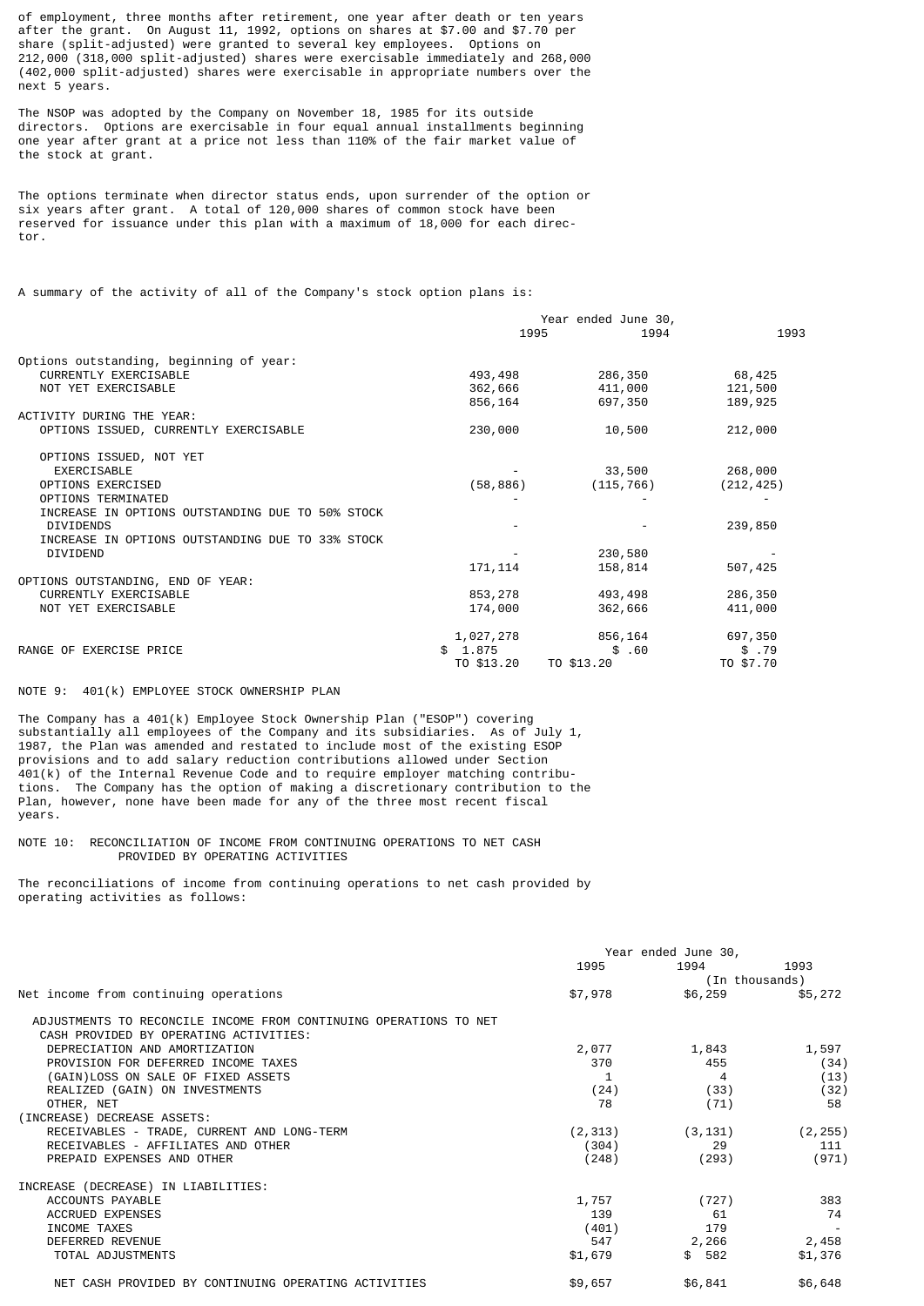of employment, three months after retirement, one year after death or ten years after the grant. On August 11, 1992, options on shares at \$7.00 and \$7.70 per share (split-adjusted) were granted to several key employees. Options on 212,000 (318,000 split-adjusted) shares were exercisable immediately and 268,000 (402,000 split-adjusted) shares were exercisable in appropriate numbers over the next 5 years.

The NSOP was adopted by the Company on November 18, 1985 for its outside directors. Options are exercisable in four equal annual installments beginning one year after grant at a price not less than 110% of the fair market value of the stock at grant.

The options terminate when director status ends, upon surrender of the option or six years after grant. A total of 120,000 shares of common stock have been reserved for issuance under this plan with a maximum of 18,000 for each director.

A summary of the activity of all of the Company's stock option plans is:

|                                                  | Year ended June 30, |              |           |  |
|--------------------------------------------------|---------------------|--------------|-----------|--|
|                                                  |                     | 1995<br>1994 | 1993      |  |
| Options outstanding, beginning of year:          |                     |              |           |  |
| <b>CURRENTLY EXERCISABLE</b>                     | 493,498             | 286,350      | 68,425    |  |
| NOT YET EXERCISABLE                              | 362,666             | 411,000      | 121,500   |  |
|                                                  | 856,164             | 697,350      | 189,925   |  |
| ACTIVITY DURING THE YEAR:                        |                     |              |           |  |
| OPTIONS ISSUED, CURRENTLY EXERCISABLE            | 230,000             | 10,500       | 212,000   |  |
| OPTIONS ISSUED, NOT YET                          |                     |              |           |  |
| <b>EXERCISABLE</b>                               |                     | 33,500       | 268,000   |  |
| OPTIONS EXERCISED                                | (58, 886)           | (115, 766)   | (212,425) |  |
| OPTIONS TERMINATED                               |                     |              |           |  |
| INCREASE IN OPTIONS OUTSTANDING DUE TO 50% STOCK |                     |              |           |  |
| <b>DIVIDENDS</b>                                 |                     |              | 239,850   |  |
| INCREASE IN OPTIONS OUTSTANDING DUE TO 33% STOCK |                     |              |           |  |
| <b>DIVIDEND</b>                                  |                     | 230,580      |           |  |
|                                                  | 171, 114            | 158,814      | 507,425   |  |
| OPTIONS OUTSTANDING, END OF YEAR:                |                     |              |           |  |
| CURRENTLY EXERCISABLE                            | 853,278             | 493,498      | 286,350   |  |
| NOT YET EXERCISABLE                              | 174,000             | 362,666      | 411,000   |  |
|                                                  | 1,027,278           | 856,164      | 697,350   |  |
| RANGE OF EXERCISE PRICE                          | 1.875<br>\$         | \$.60        | \$.79     |  |
|                                                  | TO \$13.20          | TO \$13.20   | TO \$7.70 |  |

## NOTE 9: 401(k) EMPLOYEE STOCK OWNERSHIP PLAN

The Company has a 401(k) Employee Stock Ownership Plan ("ESOP") covering substantially all employees of the Company and its subsidiaries. As of July 1, 1987, the Plan was amended and restated to include most of the existing ESOP provisions and to add salary reduction contributions allowed under Section 401(k) of the Internal Revenue Code and to require employer matching contributions. The Company has the option of making a discretionary contribution to the Plan, however, none have been made for any of the three most recent fiscal years.

# NOTE 10: RECONCILIATION OF INCOME FROM CONTINUING OPERATIONS TO NET CASH PROVIDED BY OPERATING ACTIVITIES

The reconciliations of income from continuing operations to net cash provided by operating activities as follows:

|                                                                                                             | Year ended June 30, |                |          |
|-------------------------------------------------------------------------------------------------------------|---------------------|----------------|----------|
|                                                                                                             | 1995                | 1994           | 1993     |
|                                                                                                             |                     | (In thousands) |          |
| Net income from continuing operations                                                                       | \$7,978             | \$6,259        | \$5,272  |
| ADJUSTMENTS TO RECONCILE INCOME FROM CONTINUING OPERATIONS TO NET<br>CASH PROVIDED BY OPERATING ACTIVITIES: |                     |                |          |
| DEPRECIATION AND AMORTIZATION                                                                               | 2,077               | 1,843          | 1,597    |
| PROVISION FOR DEFERRED INCOME TAXES                                                                         | 370                 | 455            | (34)     |
| (GAIN)LOSS ON SALE OF FIXED ASSETS                                                                          |                     | 4              | (13)     |
| REALIZED (GAIN) ON INVESTMENTS                                                                              | (24)                | (33)           | (32)     |
| OTHER, NET                                                                                                  | 78                  | (71)           | 58       |
| (INCREASE) DECREASE ASSETS:                                                                                 |                     |                |          |
| RECEIVABLES - TRADE, CURRENT AND LONG-TERM                                                                  | (2, 313)            | (3, 131)       | (2, 255) |
| RECEIVABLES - AFFILIATES AND OTHER                                                                          | (304)               | 29             | 111      |
| PREPAID EXPENSES AND OTHER                                                                                  | (248)               | (293)          | (971)    |
| INCREASE (DECREASE) IN LIABILITIES:                                                                         |                     |                |          |
| ACCOUNTS PAYABLE                                                                                            | 1,757               | (727)          | 383      |
| <b>ACCRUED EXPENSES</b>                                                                                     | 139                 | 61             | 74       |
| INCOME TAXES                                                                                                | (401)               | 179            |          |
| DEFERRED REVENUE                                                                                            | 547                 | 2,266          | 2,458    |
| TOTAL ADJUSTMENTS                                                                                           | \$1,679             | \$582          | \$1,376  |
| NET CASH PROVIDED BY CONTINUING OPERATING ACTIVITIES                                                        | \$9,657             | \$6,841        | \$6,648  |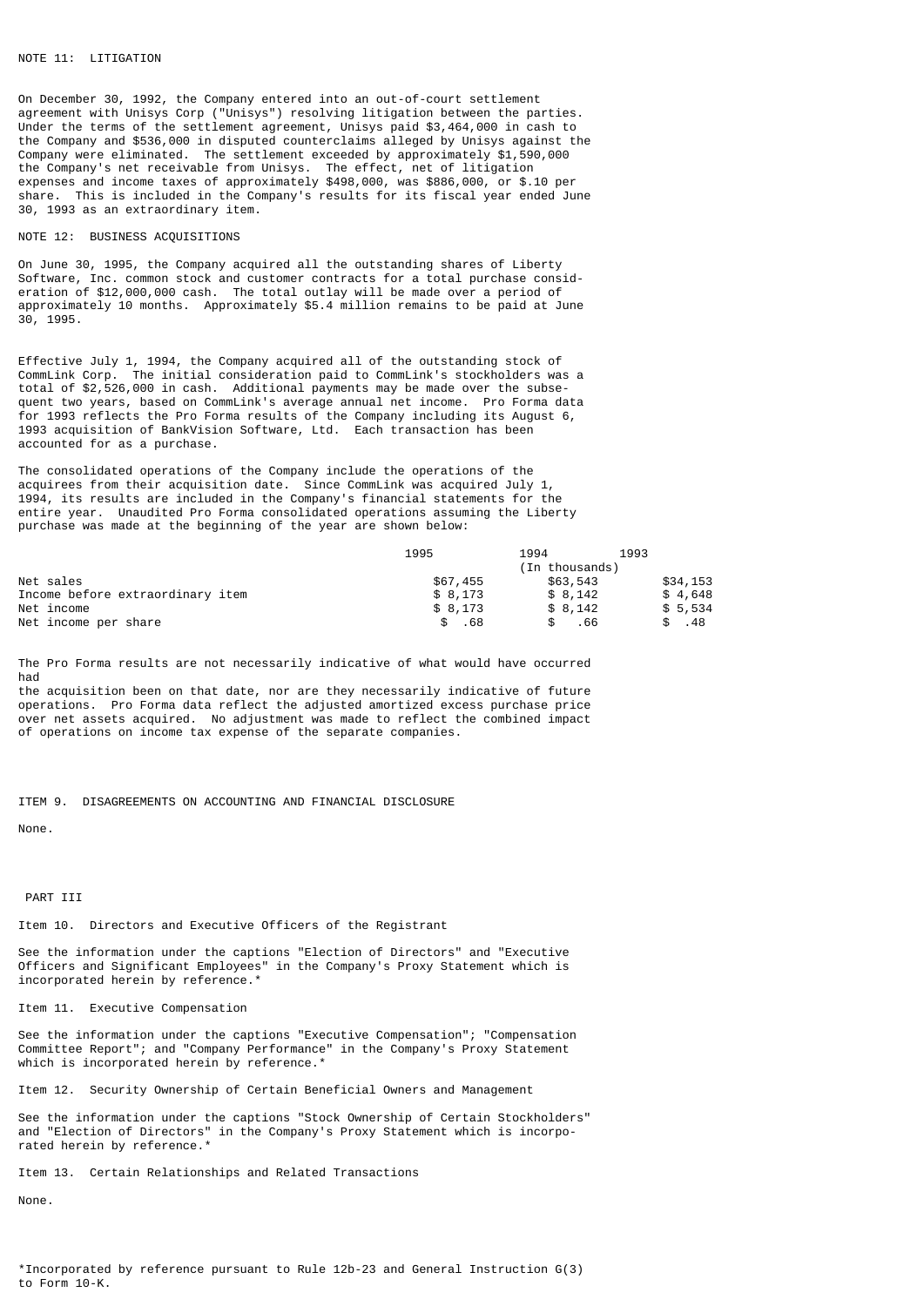# NOTE 11: LITIGATION

On December 30, 1992, the Company entered into an out-of-court settlement agreement with Unisys Corp ("Unisys") resolving litigation between the parties. Under the terms of the settlement agreement, Unisys paid \$3,464,000 in cash to the Company and \$536,000 in disputed counterclaims alleged by Unisys against the Company were eliminated. The settlement exceeded by approximately \$1,590,000 the Company's net receivable from Unisys. The effect, net of litigation expenses and income taxes of approximately \$498,000, was \$886,000, or \$.10 per share. This is included in the Company's results for its fiscal year ended June 30, 1993 as an extraordinary item.

#### NOTE 12: BUSINESS ACQUISITIONS

On June 30, 1995, the Company acquired all the outstanding shares of Liberty Software, Inc. common stock and customer contracts for a total purchase consideration of \$12,000,000 cash. The total outlay will be made over a period of approximately 10 months. Approximately \$5.4 million remains to be paid at June 30, 1995.

Effective July 1, 1994, the Company acquired all of the outstanding stock of CommLink Corp. The initial consideration paid to CommLink's stockholders was a total of \$2,526,000 in cash. Additional payments may be made over the subsequent two years, based on CommLink's average annual net income. Pro Forma data for 1993 reflects the Pro Forma results of the Company including its August 6, 1993 acquisition of BankVision Software, Ltd. Each transaction has been accounted for as a purchase.

The consolidated operations of the Company include the operations of the acquirees from their acquisition date. Since CommLink was acquired July 1, 1994, its results are included in the Company's financial statements for the entire year. Unaudited Pro Forma consolidated operations assuming the Liberty purchase was made at the beginning of the year are shown below:

|                                  | 1995     | 1994           | 1993     |
|----------------------------------|----------|----------------|----------|
|                                  |          | (In thousands) |          |
| Net sales                        | \$67,455 | \$63,543       | \$34,153 |
| Income before extraordinary item | \$8.173  | \$8.142        | \$4.648  |
| Net income                       | \$8.173  | \$8.142        | \$5,534  |
| Net income per share             | .68      | .66            | . 48     |

The Pro Forma results are not necessarily indicative of what would have occurred had

the acquisition been on that date, nor are they necessarily indicative of future operations. Pro Forma data reflect the adjusted amortized excess purchase price over net assets acquired. No adjustment was made to reflect the combined impact of operations on income tax expense of the separate companies.

#### ITEM 9. DISAGREEMENTS ON ACCOUNTING AND FINANCIAL DISCLOSURE

None.

## PART TIT

Item 10. Directors and Executive Officers of the Registrant

See the information under the captions "Election of Directors" and "Executive Officers and Significant Employees" in the Company's Proxy Statement which is incorporated herein by reference.\*

#### Item 11. Executive Compensation

See the information under the captions "Executive Compensation"; "Compensation Committee Report"; and "Company Performance" in the Company's Proxy Statement which is incorporated herein by reference. $^{\circ}$ 

Item 12. Security Ownership of Certain Beneficial Owners and Management

See the information under the captions "Stock Ownership of Certain Stockholders" and "Election of Directors" in the Company's Proxy Statement which is incorporated herein by reference.\*

Item 13. Certain Relationships and Related Transactions

None.

\*Incorporated by reference pursuant to Rule 12b-23 and General Instruction G(3) to Form 10-K.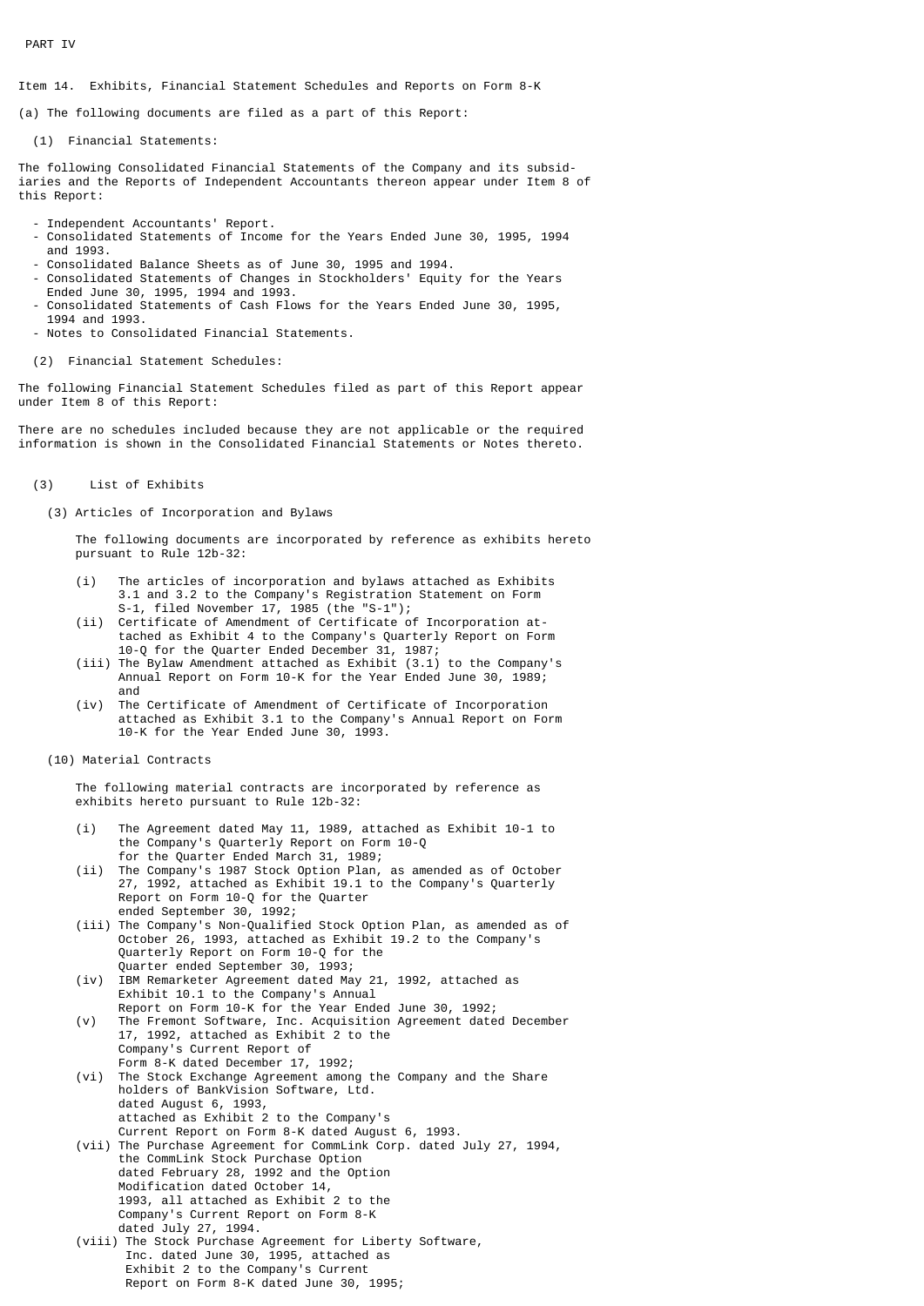PART IV

Item 14. Exhibits, Financial Statement Schedules and Reports on Form 8-K

(a) The following documents are filed as a part of this Report:

(1) Financial Statements:

The following Consolidated Financial Statements of the Company and its subsidiaries and the Reports of Independent Accountants thereon appear under Item 8 of this Report:

- Independent Accountants' Report.
- Consolidated Statements of Income for the Years Ended June 30, 1995, 1994 and 1993.
- Consolidated Balance Sheets as of June 30, 1995 and 1994.
- Consolidated Statements of Changes in Stockholders' Equity for the Years Ended June 30, 1995, 1994 and 1993.
- Consolidated Statements of Cash Flows for the Years Ended June 30, 1995, 1994 and 1993.
- Notes to Consolidated Financial Statements.
- (2) Financial Statement Schedules:

The following Financial Statement Schedules filed as part of this Report appear under Item 8 of this Report:

There are no schedules included because they are not applicable or the required information is shown in the Consolidated Financial Statements or Notes thereto.

- (3) List of Exhibits
	- (3) Articles of Incorporation and Bylaws

 The following documents are incorporated by reference as exhibits hereto pursuant to Rule 12b-32:

- (i) The articles of incorporation and bylaws attached as Exhibits 3.1 and 3.2 to the Company's Registration Statement on Form S-1, filed November 17, 1985 (the "S-1");
- (ii) Certificate of Amendment of Certificate of Incorporation at tached as Exhibit 4 to the Company's Quarterly Report on Form 10-Q for the Quarter Ended December 31, 1987;
- (iii) The Bylaw Amendment attached as Exhibit (3.1) to the Company's Annual Report on Form 10-K for the Year Ended June 30, 1989; and
- (iv) The Certificate of Amendment of Certificate of Incorporation attached as Exhibit 3.1 to the Company's Annual Report on Form 10-K for the Year Ended June 30, 1993.
- (10) Material Contracts

 The following material contracts are incorporated by reference as exhibits hereto pursuant to Rule 12b-32:

- (i) The Agreement dated May 11, 1989, attached as Exhibit 10-1 to the Company's Quarterly Report on Form 10-Q
- for the Quarter Ended March 31, 1989; The Company's 1987 Stock Option Plan, as amended as of October 27, 1992, attached as Exhibit 19.1 to the Company's Quarterly Report on Form 10-Q for the Quarter ended September 30, 1992;
	- (iii) The Company's Non-Qualified Stock Option Plan, as amended as of October 26, 1993, attached as Exhibit 19.2 to the Company's Quarterly Report on Form 10-Q for the Quarter ended September 30, 1993;
	- (iv) IBM Remarketer Agreement dated May 21, 1992, attached as Exhibit 10.1 to the Company's Annual Report on Form 10-K for the Year Ended June 30, 1992;
	- (v) The Fremont Software, Inc. Acquisition Agreement dated December 17, 1992, attached as Exhibit 2 to the Company's Current Report of Form 8-K dated December 17, 1992;
	- (vi) The Stock Exchange Agreement among the Company and the Share holders of BankVision Software, Ltd. dated August 6, 1993, attached as Exhibit 2 to the Company's
- Current Report on Form 8-K dated August 6, 1993. (vii) The Purchase Agreement for CommLink Corp. dated July 27, 1994, the CommLink Stock Purchase Option dated February 28, 1992 and the Option Modification dated October 14, 1993, all attached as Exhibit 2 to the Company's Current Report on Form 8-K dated July 27, 1994.
	- (viii) The Stock Purchase Agreement for Liberty Software, Inc. dated June 30, 1995, attached as Exhibit 2 to the Company's Current Report on Form 8-K dated June 30, 1995;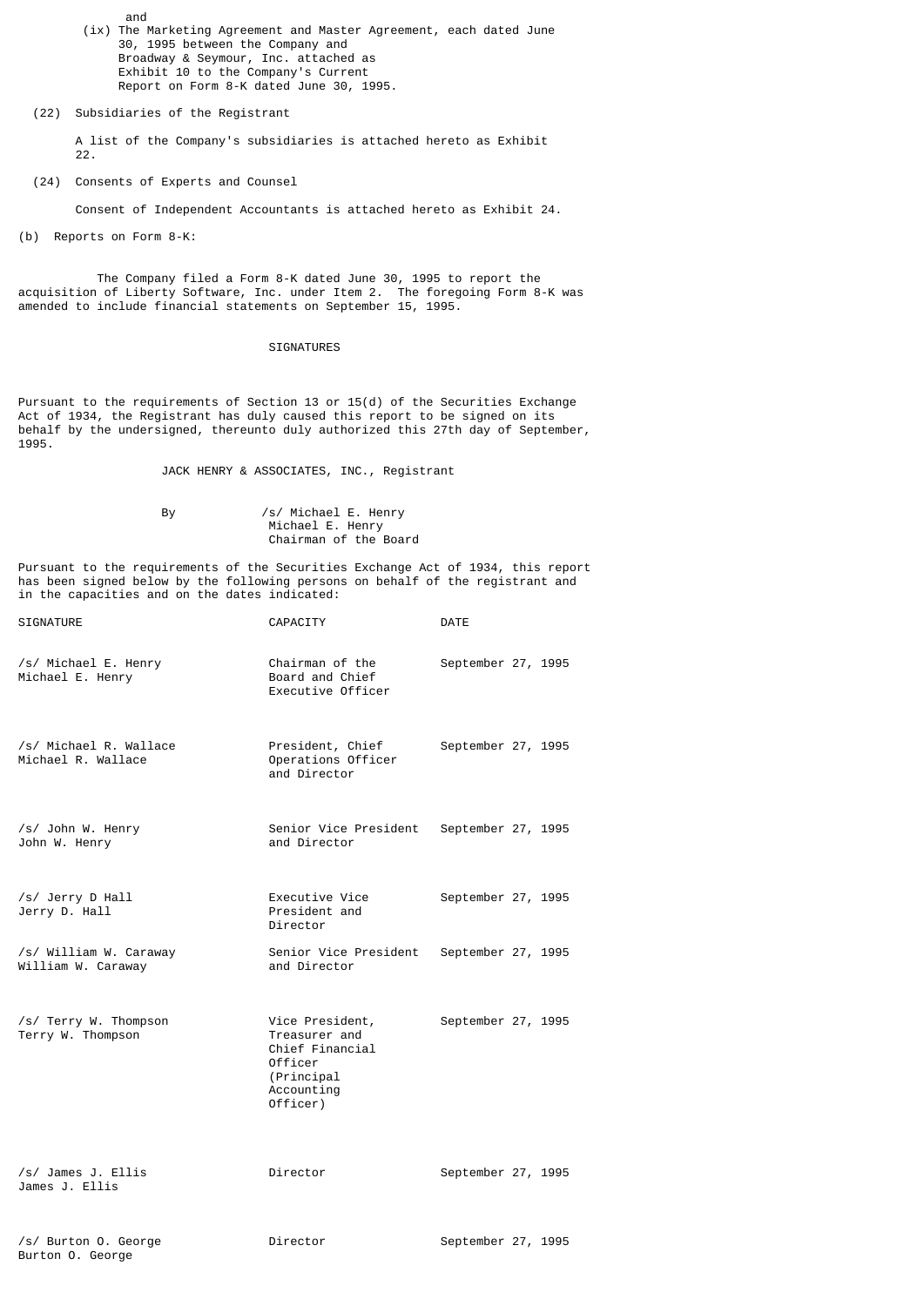- and (ix) The Marketing Agreement and Master Agreement, each dated June 30, 1995 between the Company and Broadway & Seymour, Inc. attached as Exhibit 10 to the Company's Current Report on Form 8-K dated June 30, 1995.
	- (22) Subsidiaries of the Registrant

 A list of the Company's subsidiaries is attached hereto as Exhibit  $22.$ 

(24) Consents of Experts and Counsel

Consent of Independent Accountants is attached hereto as Exhibit 24.

(b) Reports on Form 8-K:

 The Company filed a Form 8-K dated June 30, 1995 to report the acquisition of Liberty Software, Inc. under Item 2. The foregoing Form 8-K was amended to include financial statements on September 15, 1995.

# SIGNATURES

Pursuant to the requirements of Section 13 or 15(d) of the Securities Exchange Act of 1934, the Registrant has duly caused this report to be signed on its behalf by the undersigned, thereunto duly authorized this 27th day of September, 1995.

JACK HENRY & ASSOCIATES, INC., Registrant

 By /s/ Michael E. Henry Michael E. Henry Chairman of the Board

Pursuant to the requirements of the Securities Exchange Act of 1934, this report has been signed below by the following persons on behalf of the registrant and in the capacities and on the dates indicated:

| <b>SIGNATURE</b>                             | CAPACITY                                                                                               | DATE               |
|----------------------------------------------|--------------------------------------------------------------------------------------------------------|--------------------|
| /s/ Michael E. Henry<br>Michael E. Henry     | Chairman of the<br>Board and Chief<br>Executive Officer                                                | September 27, 1995 |
| /s/ Michael R. Wallace<br>Michael R. Wallace | President, Chief<br>Operations Officer<br>and Director                                                 | September 27, 1995 |
| /s/ John W. Henry<br>John W. Henry           | Senior Vice President September 27, 1995<br>and Director                                               |                    |
| /s/ Jerry D Hall<br>Jerry D. Hall            | Executive Vice<br>President and<br>Director                                                            | September 27, 1995 |
| /s/ William W. Caraway<br>William W. Caraway | Senior Vice President<br>and Director                                                                  | September 27, 1995 |
| /s/ Terry W. Thompson<br>Terry W. Thompson   | Vice President,<br>Treasurer and<br>Chief Financial<br>Officer<br>(Principal<br>Accounting<br>Officer) | September 27, 1995 |
| /s/ James J. Ellis<br>James J. Ellis         | Director                                                                                               | September 27, 1995 |
| /s/ Burton 0. George                         | Director                                                                                               | September 27, 1995 |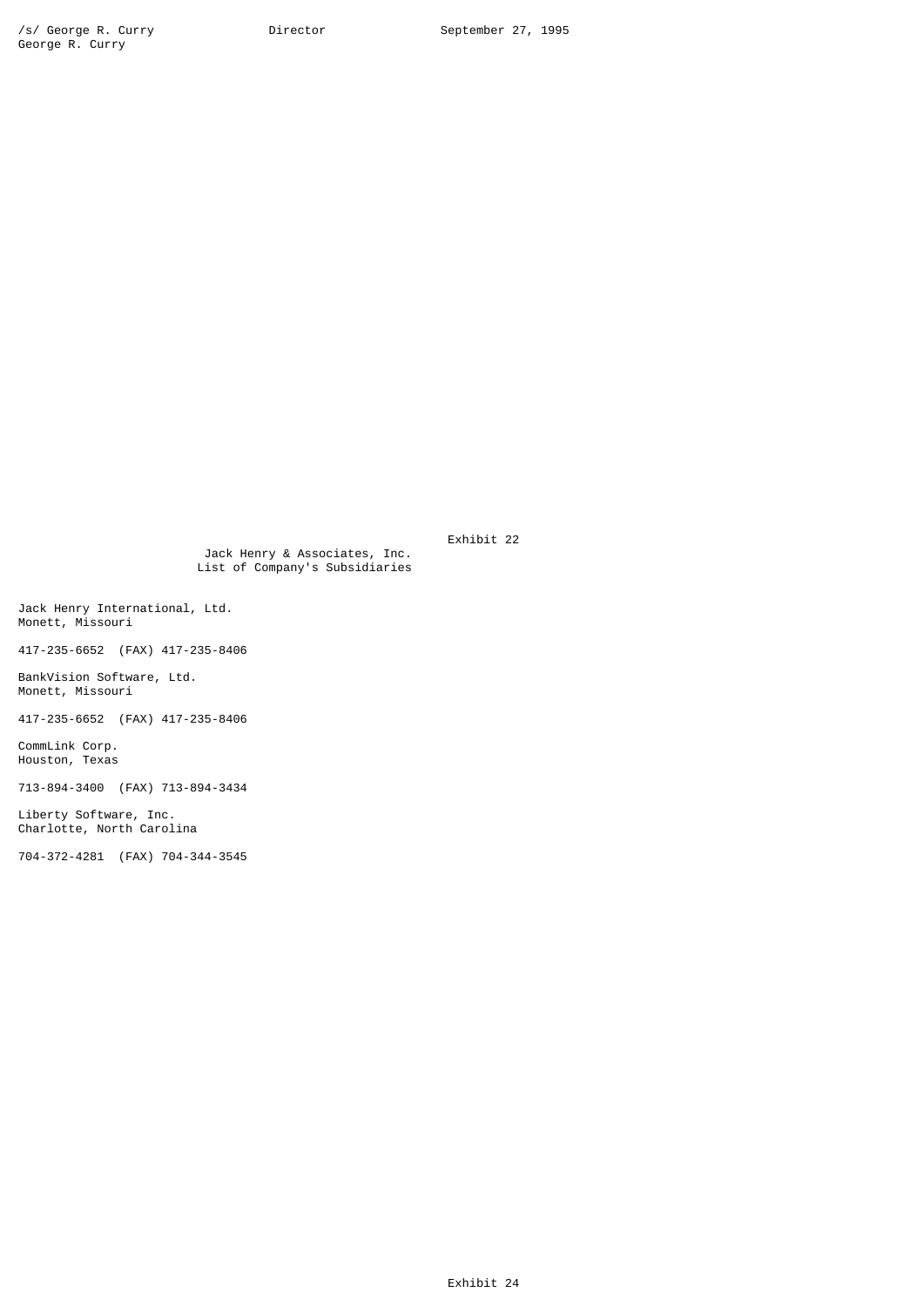Exhibit 22

 Jack Henry & Associates, Inc. List of Company's Subsidiaries

Jack Henry International, Ltd. Monett, Missouri

417-235-6652 (FAX) 417-235-8406

BankVision Software, Ltd. Monett, Missouri

417-235-6652 (FAX) 417-235-8406

CommLink Corp. Houston, Texas

713-894-3400 (FAX) 713-894-3434

Liberty Software, Inc. Charlotte, North Carolina

704-372-4281 (FAX) 704-344-3545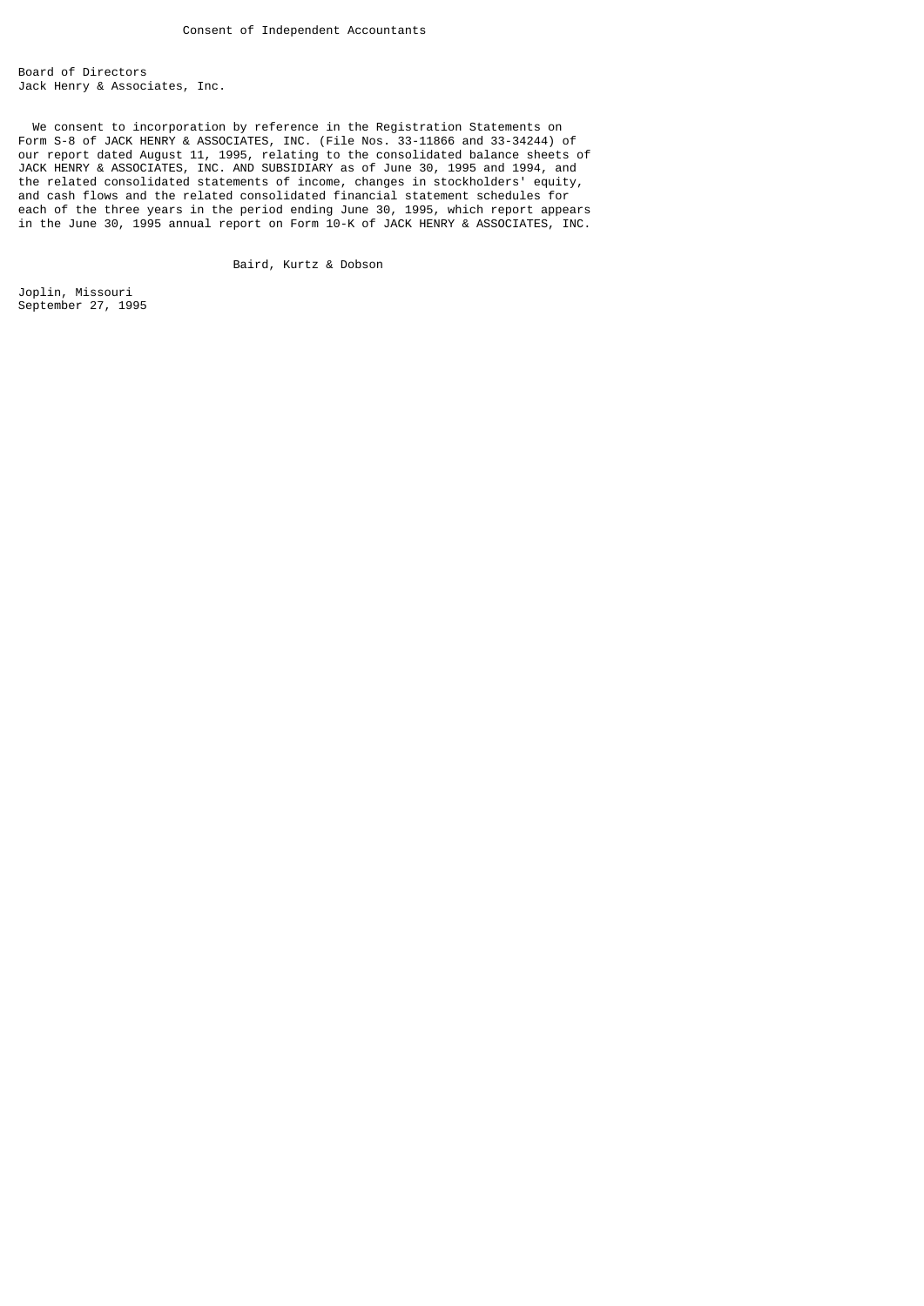Board of Directors Jack Henry & Associates, Inc.

 We consent to incorporation by reference in the Registration Statements on Form S-8 of JACK HENRY & ASSOCIATES, INC. (File Nos. 33-11866 and 33-34244) of our report dated August 11, 1995, relating to the consolidated balance sheets of JACK HENRY & ASSOCIATES, INC. AND SUBSIDIARY as of June 30, 1995 and 1994, and the related consolidated statements of income, changes in stockholders' equity, and cash flows and the related consolidated financial statement schedules for each of the three years in the period ending June 30, 1995, which report appears in the June 30, 1995 annual report on Form 10-K of JACK HENRY & ASSOCIATES, INC.

Baird, Kurtz & Dobson

Joplin, Missouri September 27, 1995